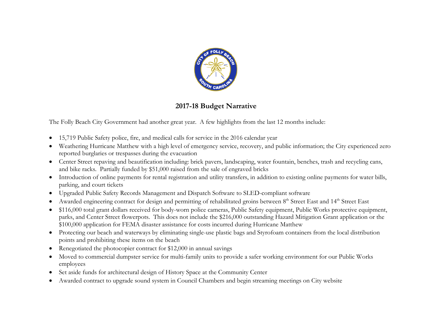

# **2017-18 Budget Narrative**

The Folly Beach City Government had another great year. A few highlights from the last 12 months include:

- 15,719 Public Safety police, fire, and medical calls for service in the 2016 calendar year
- Weathering Hurricane Matthew with a high level of emergency service, recovery, and public information; the City experienced zero reported burglaries or trespasses during the evacuation
- Center Street repaving and beautification including: brick pavers, landscaping, water fountain, benches, trash and recycling cans, and bike racks. Partially funded by \$51,000 raised from the sale of engraved bricks
- Introduction of online payments for rental registration and utility transfers, in addition to existing online payments for water bills, parking, and court tickets
- Upgraded Public Safety Records Management and Dispatch Software to SLED-compliant software
- Awarded engineering contract for design and permitting of rehabilitated groins between 8<sup>th</sup> Street East and 14<sup>th</sup> Street East
- \$116,000 total grant dollars received for body-worn police cameras, Public Safety equipment, Public Works protective equipment, parks, and Center Street flowerpots. This does not include the \$216,000 outstanding Hazard Mitigation Grant application or the \$100,000 application for FEMA disaster assistance for costs incurred during Hurricane Matthew
- Protecting our beach and waterways by eliminating single-use plastic bags and Styrofoam containers from the local distribution points and prohibiting these items on the beach
- Renegotiated the photocopier contract for \$12,000 in annual savings
- Moved to commercial dumpster service for multi-family units to provide a safer working environment for our Public Works employees
- Set aside funds for architectural design of History Space at the Community Center
- Awarded contract to upgrade sound system in Council Chambers and begin streaming meetings on City website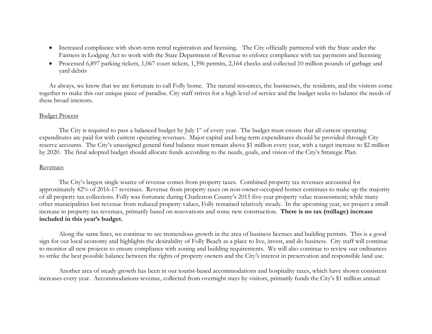- Increased compliance with short-term rental registration and licensing. The City officially partnered with the State under the Fairness in Lodging Act to work with the State Department of Revenue to enforce compliance with tax payments and licensing
- Processed 6,897 parking tickets, 1,067 court tickets, 1,396 permits, 2,164 checks and collected 10 million pounds of garbage and yard debris

As always, we know that we are fortunate to call Folly home. The natural resources, the businesses, the residents, and the visitors come together to make this our unique piece of paradise. City staff strives for a high level of service and the budget seeks to balance the needs of these broad interests.

#### Budget Process

The City is required to pass a balanced budget by July  $1<sup>st</sup>$  of every year. The budget must ensure that all current operating expenditures are paid for with current operating revenues. Major capital and long-term expenditures should be provided through City reserve accounts. The City's unassigned general fund balance must remain above \$1 million every year, with a target increase to \$2 million by 2020. The final adopted budget should allocate funds according to the needs, goals, and vision of the City's Strategic Plan.

## Revenues

The City's largest single source of revenue comes from property taxes. Combined property tax revenues accounted for approximately 42% of 2016-17 revenues. Revenue from property taxes on non-owner-occupied homes continues to make up the majority of all property tax collections. Folly was fortunate during Charleston County's 2015 five-year property value reassessment; while many other municipalities lost revenue from reduced property values, Folly remained relatively steady. In the upcoming year, we project a small increase in property tax revenues, primarily based on renovations and some new construction. **There is no tax (millage) increase included in this year's budget.**

Along the same lines, we continue to see tremendous growth in the area of business licenses and building permits. This is a good sign for our local economy and highlights the desirability of Folly Beach as a place to live, invest, and do business. City staff will continue to monitor all new projects to ensure compliance with zoning and building requirements. We will also continue to review our ordinances to strike the best possible balance between the rights of property owners and the City's interest in preservation and responsible land use.

Another area of steady growth has been in our tourist-based accommodations and hospitality taxes, which have shown consistent increases every year. Accommodations revenue, collected from overnight stays by visitors, primarily funds the City's \$1 million annual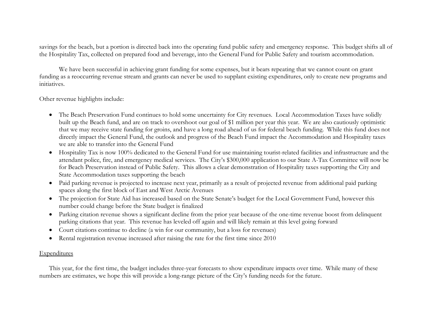savings for the beach, but a portion is directed back into the operating fund public safety and emergency response. This budget shifts all of the Hospitality Tax, collected on prepared food and beverage, into the General Fund for Public Safety and tourism accommodation.

We have been successful in achieving grant funding for some expenses, but it bears repeating that we cannot count on grant funding as a reoccurring revenue stream and grants can never be used to supplant existing expenditures, only to create new programs and initiatives.

Other revenue highlights include:

- The Beach Preservation Fund continues to hold some uncertainty for City revenues. Local Accommodation Taxes have solidly built up the Beach fund, and are on track to overshoot our goal of \$1 million per year this year. We are also cautiously optimistic that we may receive state funding for groins, and have a long road ahead of us for federal beach funding. While this fund does not directly impact the General Fund, the outlook and progress of the Beach Fund impact the Accommodation and Hospitality taxes we are able to transfer into the General Fund
- Hospitality Tax is now 100% dedicated to the General Fund for use maintaining tourist-related facilities and infrastructure and the attendant police, fire, and emergency medical services. The City's \$300,000 application to our State A-Tax Committee will now be for Beach Preservation instead of Public Safety. This allows a clear demonstration of Hospitality taxes supporting the City and State Accommodation taxes supporting the beach
- Paid parking revenue is projected to increase next year, primarily as a result of projected revenue from additional paid parking spaces along the first block of East and West Arctic Avenues
- The projection for State Aid has increased based on the State Senate's budget for the Local Government Fund, however this number could change before the State budget is finalized
- Parking citation revenue shows a significant decline from the prior year because of the one-time revenue boost from delinquent parking citations that year. This revenue has leveled off again and will likely remain at this level going forward
- Court citations continue to decline (a win for our community, but a loss for revenues)
- Rental registration revenue increased after raising the rate for the first time since 2010

## **Expenditures**

This year, for the first time, the budget includes three-year forecasts to show expenditure impacts over time. While many of these numbers are estimates, we hope this will provide a long-range picture of the City's funding needs for the future.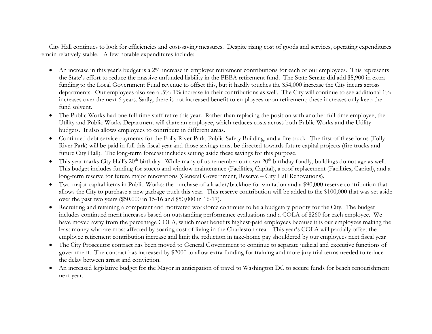City Hall continues to look for efficiencies and cost-saving measures. Despite rising cost of goods and services, operating expenditures remain relatively stable. A few notable expenditures include:

- An increase in this year's budget is a 2% increase in employer retirement contributions for each of our employees. This represents the State's effort to reduce the massive unfunded liability in the PEBA retirement fund. The State Senate did add \$8,900 in extra funding to the Local Government Fund revenue to offset this, but it hardly touches the \$54,000 increase the City incurs across departments. Our employees also see a .5%-1% increase in their contributions as well. The City will continue to see additional 1% increases over the next 6 years. Sadly, there is not increased benefit to employees upon retirement; these increases only keep the fund solvent.
- The Public Works had one full-time staff retire this year. Rather than replacing the position with another full-time employee, the Utility and Public Works Department will share an employee, which reduces costs across both Public Works and the Utility budgets. It also allows employees to contribute in different areas.
- Continued debt service payments for the Folly River Park, Public Safety Building, and a fire truck. The first of these loans (Folly River Park) will be paid in full this fiscal year and those savings must be directed towards future capital projects (fire trucks and future City Hall). The long-term forecast includes setting aside these savings for this purpose.
- This year marks City Hall's  $20<sup>th</sup>$  birthday. While many of us remember our own  $20<sup>th</sup>$  birthday fondly, buildings do not age as well. This budget includes funding for stucco and window maintenance (Facilities, Capital), a roof replacement (Facilities, Capital), and a long-term reserve for future major renovations (General Government, Reserve – City Hall Renovations).
- Two major capital items in Public Works: the purchase of a loader/backhoe for sanitation and a \$90,000 reserve contribution that allows the City to purchase a new garbage truck this year. This reserve contribution will be added to the \$100,000 that was set aside over the past two years (\$50,000 in 15-16 and \$50,000 in 16-17).
- Recruiting and retaining a competent and motivated workforce continues to be a budgetary priority for the City. The budget includes continued merit increases based on outstanding performance evaluations and a COLA of \$260 for each employee. We have moved away from the percentage COLA, which most benefits highest-paid employees because it is our employees making the least money who are most affected by soaring cost of living in the Charleston area. This year's COLA will partially offset the employee retirement contribution increase and limit the reduction in take-home pay shouldered by our employees next fiscal year
- The City Prosecutor contract has been moved to General Government to continue to separate judicial and executive functions of government. The contract has increased by \$2000 to allow extra funding for training and more jury trial terms needed to reduce the delay between arrest and conviction.
- An increased legislative budget for the Mayor in anticipation of travel to Washington DC to secure funds for beach renourishment next year.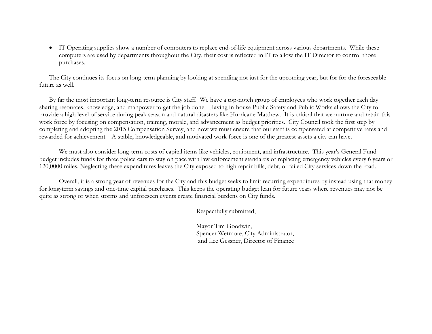• IT Operating supplies show a number of computers to replace end-of-life equipment across various departments. While these computers are used by departments throughout the City, their cost is reflected in IT to allow the IT Director to control those purchases.

The City continues its focus on long-term planning by looking at spending not just for the upcoming year, but for for the foreseeable future as well.

By far the most important long-term resource is City staff. We have a top-notch group of employees who work together each day sharing resources, knowledge, and manpower to get the job done. Having in-house Public Safety and Public Works allows the City to provide a high level of service during peak season and natural disasters like Hurricane Matthew. It is critical that we nurture and retain this work force by focusing on compensation, training, morale, and advancement as budget priorities. City Council took the first step by completing and adopting the 2015 Compensation Survey, and now we must ensure that our staff is compensated at competitive rates and rewarded for achievement. A stable, knowledgeable, and motivated work force is one of the greatest assets a city can have.

We must also consider long-term costs of capital items like vehicles, equipment, and infrastructure. This year's General Fund budget includes funds for three police cars to stay on pace with law enforcement standards of replacing emergency vehicles every 6 years or 120,0000 miles. Neglecting these expenditures leaves the City exposed to high repair bills, debt, or failed City services down the road.

Overall, it is a strong year of revenues for the City and this budget seeks to limit recurring expenditures by instead using that money for long-term savings and one-time capital purchases. This keeps the operating budget lean for future years where revenues may not be quite as strong or when storms and unforeseen events create financial burdens on City funds.

Respectfully submitted,

Mayor Tim Goodwin, Spencer Wetmore, City Administrator, and Lee Gessner, Director of Finance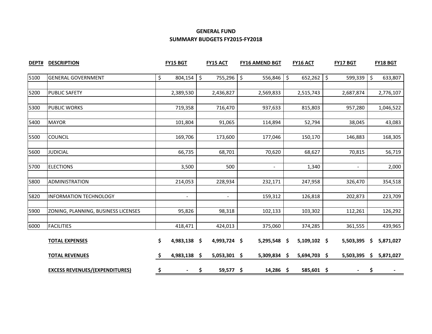## **GENERAL FUND SUMMARY BUDGETS FY2015-FY2018**

| DEPT# | <b>DESCRIPTION</b>                    | <b>FY15 BGT</b>      | <b>FY15 ACT</b> | <b>FY16 AMEND BGT</b>    | <b>FY16 ACT</b> | FY17 BGT       |         | FY18 BGT  |
|-------|---------------------------------------|----------------------|-----------------|--------------------------|-----------------|----------------|---------|-----------|
| 5100  | <b>GENERAL GOVERNMENT</b>             | \$<br>804,154        | \$<br>755,296   | \$<br>$556,846$ \$       | 652,262         | \$<br>599,339  | $\zeta$ | 633,807   |
|       |                                       |                      |                 |                          |                 |                |         |           |
| 5200  | <b>PUBLIC SAFETY</b>                  | 2,389,530            | 2,436,827       | 2,569,833                | 2,515,743       | 2,687,874      |         | 2,776,107 |
| 5300  | <b>PUBLIC WORKS</b>                   | 719,358              | 716,470         | 937,633                  | 815,803         | 957,280        |         | 1,046,522 |
| 5400  | <b>MAYOR</b>                          | 101,804              | 91,065          | 114,894                  | 52,794          | 38,045         |         | 43,083    |
|       |                                       |                      |                 |                          |                 |                |         |           |
| 5500  | <b>COUNCIL</b>                        | 169,706              | 173,600         | 177,046                  | 150,170         | 146,883        |         | 168,305   |
|       |                                       |                      |                 |                          |                 |                |         |           |
| 5600  | <b>JUDICIAL</b>                       | 66,735               | 68,701          | 70,620                   | 68,627          | 70,815         |         | 56,719    |
| 5700  | <b>ELECTIONS</b>                      | 3,500                | 500             | $\overline{\phantom{a}}$ | 1,340           | $\blacksquare$ |         | 2,000     |
| 5800  | <b>ADMINISTRATION</b>                 | 214,053              | 228,934         | 232,171                  | 247,958         | 326,470        |         | 354,518   |
|       |                                       |                      |                 |                          |                 |                |         |           |
| 5820  | <b>INFORMATION TECHNOLOGY</b>         | $\blacksquare$       | $\sim$          | 159,312                  | 126,818         | 202,873        |         | 223,709   |
| 5900  | ZONING, PLANNING, BUSINESS LICENSES   | 95,826               | 98,318          | 102,133                  | 103,302         | 112,261        |         | 126,292   |
|       |                                       |                      |                 |                          |                 |                |         |           |
| 6000  | <b>FACILITIES</b>                     | 418,471              | 424,013         | 375,060                  | 374,285         | 361,555        |         | 439,965   |
|       | <b>TOTAL EXPENSES</b>                 | \$<br>4,983,138 \$   | 4,993,724 \$    | $5,295,548$ \$           | $5,109,102$ \$  | 5,503,395      | \$.     | 5,871,027 |
|       | <b>TOTAL REVENUES</b>                 | \$<br>4,983,138 \$   | 5,053,301 \$    | 5,309,834 \$             | 5,694,703 \$    | 5,503,395      | \$      | 5,871,027 |
|       | <b>EXCESS REVENUES/(EXPENDITURES)</b> | \$<br>$\blacksquare$ | \$<br>59,577 \$ | $14,286$ \$              | 585,601 \$      | $\blacksquare$ | \$      |           |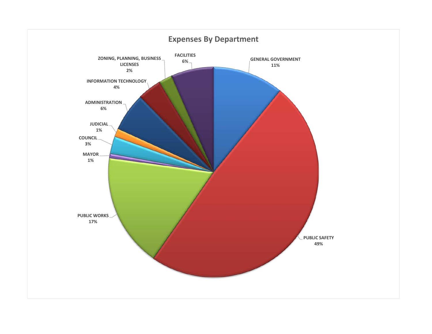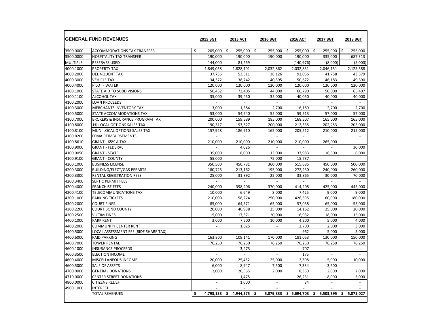|                 | <b>GENERAL FUND REVENUES</b>               |    | 2015 BGT                 |     | <b>2015 ACT</b> |    | 2016 BGT                 |    | <b>2016 ACT</b> | 2017 BGT        |     | 2018 BGT                 |
|-----------------|--------------------------------------------|----|--------------------------|-----|-----------------|----|--------------------------|----|-----------------|-----------------|-----|--------------------------|
| 3500.0000       | <b>ACCOMMODATIONS TAX TRANSFER</b>         | Ŝ. | 205,000                  | -\$ | 255,000         | \$ | 255,000                  | Ŝ. | 255,000         | \$<br>255,000   | ۱Ś. | 255,000                  |
| 3500.0000       | <b>HOSPITALITY TAX TRANSFER</b>            |    | 190,000                  |     | 190,000         |    | 190,000                  |    | 190,000         | 335,000         |     | 687,313                  |
| <b>MULTIPLE</b> | <b>RESERVES USED</b>                       |    | 144,000                  |     | 81,269          |    | $\sim$                   |    | (140, 976)      | (8,000)         |     | (5,000)                  |
| 4000.1000       | <b>PROPERTY TAX</b>                        |    | 1,849,058                |     | 1,828,101       |    | 2.032.862                |    | 2,032,831       | 2,046,151       |     | 2,125,588                |
| 4000.2000       | <b>DELINQUENT TAX</b>                      |    | 37,736                   |     | 53,511          |    | 38,126                   |    | 92,056          | 41,758          |     | 43,379                   |
| 4000.3000       | <b>VEHICLE TAX</b>                         |    | 34,372                   |     | 38,742          |    | 40,395                   |    | 50,672          | 46,183          |     | 49,390                   |
| 4000.4000       | PILOT - WATER                              |    | 120.000                  |     | 120.000         |    | 120.000                  |    | 120.000         | 120.000         |     | 120.000                  |
| 4100.1000       | STATE AID TO SUBDIVISIONS                  |    | 56,452                   |     | 73,405          |    | 44,000                   |    | 60,790          | 50,000          |     | 65,407                   |
| 4100.1100       | ALCOHOL TAX                                |    | 35,000                   |     | 39,450          |    | 35,000                   |    | 40,050          | 40,000          |     | 40,000                   |
| 4100.2000       | <b>LOAN PROCEEDS</b>                       |    | $\sim$                   |     | $\omega$        |    | $\omega$                 |    | $\mathcal{L}$   |                 |     |                          |
| 4100.3000       | <b>MERCHANTS INVENTORY TAX</b>             |    | 3,000                    |     | 1,384           |    | 2,700                    |    | 16,189          | 2,700           |     | 2,700                    |
| 4100.5000       | STATE ACCOMMODATIONS TAX                   |    | 53.000                   |     | 54.940          |    | 55.000                   |    | 59.513          | 57.000          |     | 57.000                   |
| 4100.7000       | <b>BROKERS &amp; INSURANCE PROGRAM TAX</b> |    | 200,000                  |     | 159,589         |    | 185,000                  |    | 168,507         | 165,000         |     | 165,000                  |
| 4100.8000       | 1% LOCAL OPTIONS SALES TAX                 |    | 190,317                  |     | 193,527         |    | 200,000                  |    | 212,335         | 202,253         |     | 205,000                  |
| 4100.8100       | MUNI LOCAL OPTIONS SALES TAX               |    | 157,928                  |     | 186,910         |    | 165,000                  |    | 205,512         | 210,000         |     | 215,000                  |
| 4100.8200       | <b>FEMA REIMBURSEMENTS</b>                 |    |                          |     |                 |    |                          |    |                 |                 |     |                          |
| 4100.8610       | GRANT - 65% A.TAX                          |    | 210.000                  |     | 210.000         |    | 210.000                  |    | 210.000         | 265,000         |     | $\overline{\phantom{a}}$ |
| 4100.9000       | <b>GRANT - FEDERAL</b>                     |    |                          |     | 4,026           |    |                          |    |                 |                 |     | 30,000                   |
| 4100.9050       | <b>GRANT - STATE</b>                       |    | 35,000                   |     | 8,000           |    | 13,000                   |    | 37,983          | 16,500          |     | 6,000                    |
| 4100.9100       | <b>GRANT - COUNTY</b>                      |    | 55,000                   |     | $\sim$          |    | 75,000                   |    | 15,737          | $\sim$          |     |                          |
| 4200.1000       | <b>BUSINESS LICENSE</b>                    |    | 350,500                  |     | 450,781         |    | 360,000                  |    | 515,685         | 450,000         |     | 500,000                  |
| 4200.3000       | <b>BUILDING/ELECT/GAS PERMITS</b>          |    | 180,725                  |     | 213,162         |    | 195,000                  |    | 272,230         | 240,000         |     | 260,000                  |
| 4200.3300       | <b>RENTAL REGISTRATION FEES</b>            |    | 25,000                   |     | 31,892          |    | 25,000                   |    | 33,865          | 30,000          |     | 70,000                   |
| 4200.3400       | SEPTIC PERMIT FEES                         |    |                          |     |                 |    |                          |    |                 |                 |     |                          |
| 4200.4000       | <b>FRANCHISE FEES</b>                      |    | 240,000                  |     | 398,206         |    | 370.000                  |    | 414,208         | 425,000         |     | 445,000                  |
| 4200.4100       | TELECOMMUNICATIONS TAX                     |    | 10,000                   |     | 6,649           |    | 8,000                    |    | 7,425           | 9,000           |     | 9,000                    |
| 4300.1000       | <b>PARKING TICKETS</b>                     |    | 210,000                  |     | 158,274         |    | 250,000                  |    | 426,595         | 160,000         |     | 180,000                  |
| 4300.2000       | <b>COURT FINES</b>                         |    | 85.000                   |     | 64,571          |    | 65,000                   |    | 57,038          | 65,000          |     | 55.000                   |
| 4300.2200       | <b>COURT BOND COUNTY</b>                   |    | 20,000                   |     | 40,988          |    | 25,000                   |    | 14,162          | 25,000          |     | 20,000                   |
| 4300.2500       | <b>VICTIM FINES</b>                        |    | 15,000                   |     | 17,371          |    | 20.000                   |    | 16,932          | 18.000          |     | 15.000                   |
| 4400.1000       | <b>PARK RENT</b>                           |    | 3,000                    |     | 7,500           |    | 10,000                   |    | 4,200           | 5,000           |     | 4,000                    |
| 4400.2000       | <b>COMMUNITY CENTER RENT</b>               |    | $\overline{a}$           |     | 1,025           |    | $\bar{a}$                |    | 2,700           | 2,000           |     | 3,000                    |
| 4400.5000       | LOCAL ASSESSMENT FEE (RIDE SHARE TAX)      |    |                          |     |                 |    |                          |    | 962             | 5,000           |     | 5,000                    |
| 4400.6000       | <b>PAID PARKING</b>                        |    | 163,800                  |     | 109,141         |    | 170,000                  |    | 181,053         | 130,000         |     | 150.000                  |
| 4400.7000       | <b>TOWER RENTAL</b>                        |    | 76,250                   |     | 76,250          |    | 76,250                   |    | 76,250          | 76,250          |     | 76,250                   |
| 4600.1000       | <b>INSURANCE PROCEEDS</b>                  |    | $\sim$                   |     | 3,473           |    | $\sim$                   |    | 707             | $\sim$          |     | $\sim$                   |
| 4600.3500       | <b>ELECTION INCOME</b>                     |    | ÷                        |     | $\sim$          |    | $\overline{a}$           |    | 175             | ÷.              |     | $\sim$                   |
| 4600.4000       | MISCELLANEOUS INCOME                       |    | 20.000                   |     | 25,452          |    | 25,000                   |    | 2,308           | 5,000           |     | 10.000                   |
| 4600.5000       | SALE OF ASSETS                             |    | 6,000                    |     | 8,947           |    | 7,500                    |    | 7,334           | 3,600           |     | $\sim$                   |
| 4700.0000       | <b>GENERAL DONATIONS</b>                   |    | 2,000                    |     | 20,565          |    | 2,000                    |    | 8,360           | 2,000           |     | 2,000                    |
| 4710.0000       | <b>CENTER STREET DONATIONS</b>             |    |                          |     | 1,475           |    | $\overline{a}$           |    | 26,231          | 8,000           |     | 5,000                    |
| 4800.0000       | <b>CITIZENS RELIEF</b>                     |    | $\overline{\phantom{a}}$ |     | 1,000           |    | $\overline{\phantom{a}}$ |    | 84              | $\overline{a}$  |     |                          |
| 4900.1000       | <b>INTEREST</b>                            |    |                          |     |                 |    |                          |    |                 |                 |     |                          |
|                 | <b>TOTAL REVENUES</b>                      | \$ | 4,793,138                | \$  | 4,944,575       | Ś. | 5,079,833                |    | \$5,694,703     | \$<br>5,503,395 | Ś.  | 5,871,027                |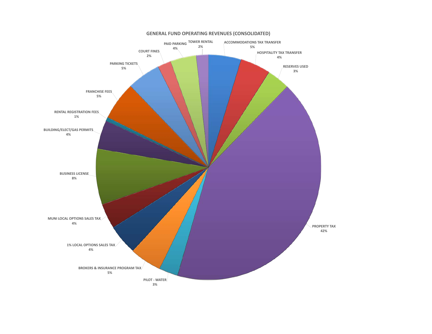

#### **GENERAL FUND OPERATING REVENUES (CONSOLIDATED)**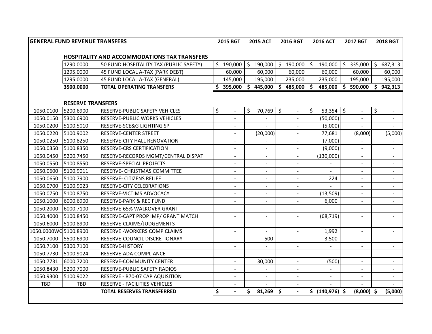|                       | <b>GENERAL FUND REVENUE TRANSFERS</b> |                                                     |    | 2015 BGT                         | <b>2015 ACT</b>       | 2016 BGT |                          | <b>2016 ACT</b> |                    | <b>2017 BGT</b> |                          | 2018 BGT |                          |
|-----------------------|---------------------------------------|-----------------------------------------------------|----|----------------------------------|-----------------------|----------|--------------------------|-----------------|--------------------|-----------------|--------------------------|----------|--------------------------|
|                       |                                       | <b>HOSPITALITY AND ACCOMMODATIONS TAX TRANSFERS</b> |    |                                  |                       |          |                          |                 |                    |                 |                          |          |                          |
|                       | 1290.0000                             | 50 FUND HOSPITALITY TAX (PUBLIC SAFETY)             | \$ | 190,000                          | $$190,000$ $$190,000$ |          |                          | $\zeta$         | 190,000            |                 | \$335,000                |          | \$687,313                |
|                       | 1295.0000                             | 45 FUND LOCAL A-TAX (PARK DEBT)                     |    | 60,000                           | 60,000                |          | 60,000                   |                 | 60,000             |                 | 60,000                   |          | 60,000                   |
|                       | 1295.0000                             | 45 FUND LOCAL A-TAX (GENERAL)                       |    | 145,000                          | 195,000               |          | 235,000                  |                 | 235,000            |                 | 195,000                  |          | 195,000                  |
|                       | 3500.0000                             | <b>TOTAL OPERATING TRANSFERS</b>                    |    | 395,000 \$ 445,000 \$ 485,000 \$ |                       |          |                          |                 | 485,000 \$ 590,000 |                 |                          |          | \$942,313                |
|                       |                                       |                                                     |    |                                  |                       |          |                          |                 |                    |                 |                          |          |                          |
|                       | <b>RESERVE TRANSFERS</b>              |                                                     |    |                                  |                       |          |                          |                 |                    |                 |                          |          |                          |
| 1050.0100             | 5200.6900                             | RESERVE-PUBLIC SAFETY VEHICLES                      | \$ | $\mathbb{L}^2$                   | \$<br>70,769 \$       |          | $\blacksquare$           | \$              | 53,354             | \$              | $\mathbb{L}$             | \$       | $\blacksquare$           |
| 1050.0150             | 5300.6900                             | <b>RESERVE-PUBLIC WORKS VEHICLES</b>                |    | ÷.                               |                       |          |                          |                 | (50,000)           |                 |                          |          |                          |
| 1050.0200             | 5100.5010                             | RESERVE-SCE&G LIGHTING SP                           |    | ÷.                               | L.                    |          | $\overline{a}$           |                 | (5,000)            |                 |                          |          |                          |
| 1050.0220             | 5100.9002                             | RESERVE-CENTER STREET                               |    |                                  | (20,000)              |          |                          |                 | 77,681             |                 | (8,000)                  |          | (5,000)                  |
| 1050.0250             | 5100.8250                             | <b>RESERVE-CITY HALL RENOVATION</b>                 |    | $\overline{\phantom{a}}$         |                       |          | $\overline{\phantom{a}}$ |                 | (7,000)            |                 | $\overline{\phantom{a}}$ |          |                          |
| 1050.0350             | 5100.8350                             | <b>RESERVE-CRS CERTIFICATION</b>                    |    | ÷,                               | ÷,                    |          | $\blacksquare$           |                 | (9,000)            |                 | $\blacksquare$           |          | $\blacksquare$           |
| 1050.0450             | 5200.7450                             | RESERVE-RECORDS MGMT/CENTRAL DISPAT                 |    | ÷                                | ÷,                    |          | ÷                        |                 | (130,000)          |                 | $\blacksquare$           |          |                          |
| 1050.0550             | 5100.8550                             | RESERVE-SPECIAL PROJECTS                            |    | ۰                                |                       |          |                          |                 |                    |                 |                          |          |                          |
| 1050.0600             | 5100.9011                             | <b>RESERVE- CHRISTMAS COMMITTEE</b>                 |    | ÷                                |                       |          |                          |                 |                    |                 |                          |          |                          |
| 1050.0650             | 5100.7900                             | RESERVE- CITIZENS RELIEF                            |    | ÷.                               | $\blacksquare$        |          | ÷.                       |                 | 224                |                 | $\blacksquare$           |          | $\sim$                   |
| 1050.0700             | 5100.9023                             | RESERVE-CITY CELEBRATIONS                           |    | ÷,                               | $\overline{a}$        |          |                          |                 |                    |                 | $\sim$                   |          |                          |
| 1050.0750             | 5100.8750                             | RESERVE-VICTIMS ADVOCACY                            |    | $\blacksquare$                   | $\blacksquare$        |          | $\blacksquare$           |                 | (13, 509)          |                 | $\blacksquare$           |          | $\blacksquare$           |
| 1050.1000             | 6000.6900                             | <b>RESERVE-PARK &amp; REC FUND</b>                  |    | $\overline{\phantom{0}}$         | $\blacksquare$        |          | $\blacksquare$           |                 | 6,000              |                 | $\overline{\phantom{a}}$ |          | $\blacksquare$           |
| 1050.2000             | 6000.7100                             | RESERVE-65% WALKOVER GRANT                          |    | L.                               | L.                    |          | $\overline{\phantom{0}}$ |                 |                    |                 | $\blacksquare$           |          | $\blacksquare$           |
| 1050.4000             | 5100.8450                             | RESERVE-CAPT PROP IMP/ GRANT MATCH                  |    | ÷                                | ÷,                    |          | ÷                        |                 | (68, 719)          |                 | $\overline{\phantom{a}}$ |          |                          |
| 1050.6000             | 5100.8900                             | RESERVE-CLAIMS/JUDGEMENTS                           |    | $\blacksquare$                   | $\blacksquare$        |          | $\blacksquare$           |                 |                    |                 | $\blacksquare$           |          | $\blacksquare$           |
| 1050.6000WC 5100.8900 |                                       | <b>RESERVE - WORKERS COMP CLAIMS</b>                |    | ÷.                               |                       |          |                          |                 | 1,992              |                 | $\sim$                   |          |                          |
| 1050.7000             | 5500.6900                             | RESERVE-COUNCIL DISCRETIONARY                       |    |                                  | 500                   |          |                          |                 | 3,500              |                 | $\blacksquare$           |          |                          |
| 1050.7100             | 5300.7100                             | RESERVE-HISTORY                                     |    | -                                | $\blacksquare$        |          | $\blacksquare$           |                 |                    |                 | $\overline{\phantom{a}}$ |          | $\blacksquare$           |
| 1050.7730             | 5100.9024                             | RESERVE-ADA COMPLIANCE                              |    | ÷.                               | ÷                     |          | $\blacksquare$           |                 | $\blacksquare$     |                 | $\overline{\phantom{a}}$ |          | $\blacksquare$           |
| 1050.7731             | 6000.7200                             | RESERVE-COMMUNITY CENTER                            |    | L.                               | 30,000                |          | $\blacksquare$           |                 | (500)              |                 | $\overline{\phantom{a}}$ |          | $\overline{\phantom{a}}$ |
| 1050.8430             | 5200.7000                             | RESERVE-PUBLIC SAFETY RADIOS                        |    |                                  |                       |          |                          |                 |                    |                 |                          |          |                          |
| 1050.9300             | 5100.9022                             | RESERVE - R70-07 CAP AQUISITION                     |    | $\sim$                           | $\blacksquare$        |          | $\blacksquare$           |                 | $\sim$             |                 | $\blacksquare$           |          | $\sim$                   |
| TBD                   | <b>TBD</b>                            | <b>RESERVE - FACILITIES VEHICLES</b>                |    | ÷.                               |                       |          | $\sim$                   |                 |                    |                 |                          |          |                          |
|                       |                                       | <b>TOTAL RESERVES TRANSFERRED</b>                   | \$ | $\overline{a}$                   | \$<br>$81,269$ \$     |          | $\sim$                   |                 | \$ (140,976) \$    |                 | $(8,000)$ \$             |          | (5,000)                  |
|                       |                                       |                                                     |    |                                  |                       |          |                          |                 |                    |                 |                          |          |                          |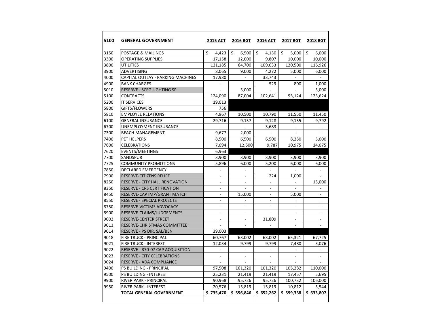| 5100 | <b>GENERAL GOVERNMENT</b>          | <b>2015 ACT</b>          | 2016 BGT                 | <b>2016 ACT</b>          | 2017 BGT                 | <b>2018 BGT</b>          |
|------|------------------------------------|--------------------------|--------------------------|--------------------------|--------------------------|--------------------------|
| 3150 | POSTAGE & MAILINGS                 | Ś<br>4,423               | Ŝ.<br>6,500              | Ŝ.<br>4,130              | Ś.<br>5,000              | Ś<br>6,000               |
| 3300 | <b>OPERATING SUPPLIES</b>          | 17,158                   | 12,000                   | 9,807                    | 10,000                   | 10,000                   |
| 3800 | <b>UTILITIES</b>                   | 121,185                  | 64,700                   | 109,033                  | 120,500                  | 116,926                  |
| 3900 | <b>ADVERTISING</b>                 | 8,065                    | 9,000                    | 4,272                    | 5,000                    | 6,000                    |
| 4000 | CAPITAL OUTLAY - PARKING MACHINES  | 17,980                   | $\blacksquare$           | 33,743                   | $\overline{a}$           |                          |
| 4900 | <b>BANK CHARGES</b>                |                          |                          | 529                      | 800                      | 1,000                    |
| 5010 | RESERVE - SCEG LIGHTING SP         |                          | 5,000                    |                          |                          | 5,000                    |
| 5100 | <b>CONTRACTS</b>                   | 124,090                  | 87,004                   | 102,641                  | 95,124                   | 123,624                  |
| 5200 | <b>IT SERVICES</b>                 | 19,013                   |                          |                          |                          |                          |
| 5800 | GIFTS/FLOWERS                      | 756                      |                          |                          |                          |                          |
| 5810 | <b>EMPLOYEE RELATIONS</b>          | 4,967                    | 10,500                   | 10,790                   | 11,550                   | 11,450                   |
| 6100 | <b>GENERAL INSURANCE</b>           | 29,716                   | 9,157                    | 9,128                    | 9,155                    | 9,792                    |
| 6700 | <b>UNEMPLOYMENT INSURANCE</b>      | $\sim$                   | $\sim$                   | 3,683                    | $\overline{a}$           | $\sim$                   |
| 7300 | <b>BEACH MANAGEMENT</b>            | 9,677                    | 2.000                    |                          |                          |                          |
| 7400 | PET HELPERS                        | 8,500                    | 6,500                    | 6,500                    | 8,250                    | 5,000                    |
| 7600 | <b>CELEBRATIONS</b>                | 7,094                    | 12,500                   | 9,787                    | 10,975                   | 14,075                   |
| 7620 | <b>EVENTS/MEETINGS</b>             | 6,963                    |                          |                          |                          |                          |
| 7700 | SANDSPUR                           | 3,900                    | 3,900                    | 3,900                    | 3,900                    | 3,900                    |
| 7725 | <b>COMMUNITY PROMOTIONS</b>        | 5,896                    | 6,000                    | 5,200                    | 6,000                    | 6,000                    |
| 7850 | <b>DECLARED EMERGENCY</b>          |                          | $\overline{a}$           |                          | $\overline{a}$           | $\sim$                   |
| 7900 | RESERVE-CITIZENS RELIEF            | $\overline{a}$           |                          | 224                      | 1,000                    |                          |
| 8250 | RESERVE - CITY HALL RENOVATION     | $\overline{\phantom{a}}$ | $\overline{\phantom{a}}$ | $\overline{a}$           | $\overline{\phantom{0}}$ | 15,000                   |
| 8350 | <b>RESERVE - CRS CERTIFICATION</b> | $\overline{a}$           | $\overline{a}$           | $\frac{1}{2}$            |                          |                          |
| 8450 | RESERVE-CAP IMP/GRANT MATCH        |                          | 15,000                   |                          | 5,000                    |                          |
| 8550 | <b>RESERVE - SPECIAL PROJECTS</b>  | $\overline{a}$           | $\frac{1}{2}$            | $\overline{\phantom{a}}$ | $\overline{a}$           | $\overline{a}$           |
| 8750 | RESERVE-VICTIMS ADVOCACY           | $\blacksquare$           | $\overline{a}$           | $\overline{\phantom{a}}$ | $\overline{a}$           | $\blacksquare$           |
| 8900 | RESERVE-CLAIMS/JUDGEMENTS          | $\blacksquare$           | $\overline{\phantom{a}}$ |                          |                          |                          |
| 9002 | <b>RESERVE-CENTER STREET</b>       | $\overline{\phantom{a}}$ | $\overline{\phantom{a}}$ | 31,809                   | $\overline{\phantom{a}}$ |                          |
| 9011 | RESERVE-CHRISTMAS COMMITTEE        | $\blacksquare$           | $\overline{a}$           | $\overline{\phantom{a}}$ | $\overline{a}$           | $\overline{\phantom{a}}$ |
| 9014 | RESERVE - PS DIR. SAL/BEN          | 39,003                   |                          |                          |                          |                          |
| 9018 | FIRE TRUCK - PRINCIPAL             | 60,767                   | 63,002                   | 63,002                   | 65,321                   | 67,725                   |
| 9021 | FIRE TRUCK - INTEREST              | 12,034                   | 9,799                    | 9,799                    | 7,480                    | 5,076                    |
| 9022 | RESERVE - R70-07 CAP ACQUISITION   | $\overline{a}$           | ÷.                       | ÷.                       | $\overline{a}$           |                          |
| 9023 | <b>RESERVE - CITY CELEBRATIONS</b> |                          |                          |                          |                          |                          |
| 9024 | RESERVE - ADA COMPLIANCE           | $\overline{a}$           | $\overline{a}$           |                          |                          |                          |
| 9400 | PS BUILDING - PRINCIPAL            | 97,508                   | 101,320                  | 101,320                  | 105,282                  | 110,000                  |
| 9500 | PS BUILDING - INTEREST             | 25,231                   | 21,419                   | 21,419                   | 17,457                   | 5,695                    |
| 9900 | RIVER PARK - PRINCIPAL             | 90,968                   | 95,726                   | 95,726                   | 100,732                  | 106,000                  |
| 9950 | RIVER PARK - INTEREST              | 20,576                   | 15,819                   | 15,819                   | 10,812                   | 5,544                    |
|      | TOTAL GENERAL GOVERNMENT           | \$735,470                | \$556,846                | \$652,262                | \$599,338                | \$633,807                |
|      |                                    |                          |                          |                          |                          |                          |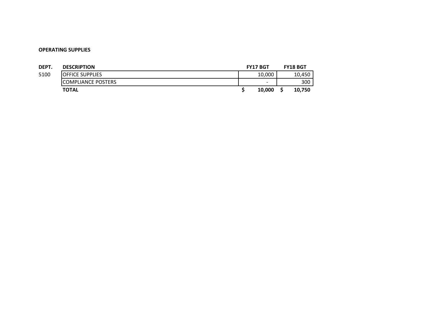| DEPT. | <b>DESCRIPTION</b>         | <b>FY17 BGT</b> | <b>FY18 BGT</b> |
|-------|----------------------------|-----------------|-----------------|
| 5100  | <b>IOFFICE SUPPLIES</b>    | 10,000          | 10,450          |
|       | <b>ICOMPLIANCE POSTERS</b> | -               | 300             |
|       | <b>TOTAL</b>               | 10.000          | 10.750          |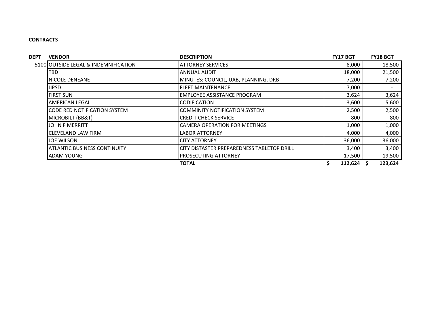## **CONTRACTS**

| <b>DEPT</b> | <b>VENDOR</b>                        | <b>DESCRIPTION</b>                         | <b>FY17 BGT</b> | <b>FY18 BGT</b> |
|-------------|--------------------------------------|--------------------------------------------|-----------------|-----------------|
|             | 5100 OUTSIDE LEGAL & INDEMNIFICATION | <b>ATTORNEY SERVICES</b>                   | 8,000           | 18,500          |
|             | <b>TBD</b>                           | <b>ANNUAL AUDIT</b>                        | 18,000          | 21,500          |
|             | NICOLE DENEANE                       | MINUTES: COUNCIL, UAB, PLANNING, DRB       | 7,200           | 7,200           |
|             | <b>JIPSD</b>                         | <b>FLEET MAINTENANCE</b>                   | 7,000           |                 |
|             | <b>FIRST SUN</b>                     | EMPLOYEE ASSISTANCE PROGRAM                | 3,624           | 3,624           |
|             | <b>AMERICAN LEGAL</b>                | <b>CODIFICATION</b>                        | 3,600           | 5,600           |
|             | <b>CODE RED NOTIFICATION SYSTEM</b>  | <b>COMMINITY NOTIFICATION SYSTEM</b>       | 2,500           | 2,500           |
|             | MICROBILT (BB&T)                     | <b>CREDIT CHECK SERVICE</b>                | 800             | 800             |
|             | <b>JOHN F MERRITT</b>                | <b>CAMERA OPERATION FOR MEETINGS</b>       | 1,000           | 1,000           |
|             | <b>CLEVELAND LAW FIRM</b>            | LABOR ATTORNEY                             | 4,000           | 4,000           |
|             | <b>JOE WILSON</b>                    | <b>CITY ATTORNEY</b>                       | 36,000          | 36,000          |
|             | <b>ATLANTIC BUSINESS CONTINUITY</b>  | CITY DISTASTER PREPAREDNESS TABLETOP DRILL | 3,400           | 3,400           |
|             | <b>ADAM YOUNG</b>                    | <b>PROSECUTING ATTORNEY</b>                | 17,500          | 19,500          |
|             |                                      | <b>TOTAL</b>                               | $112,624$ \$    | 123,624         |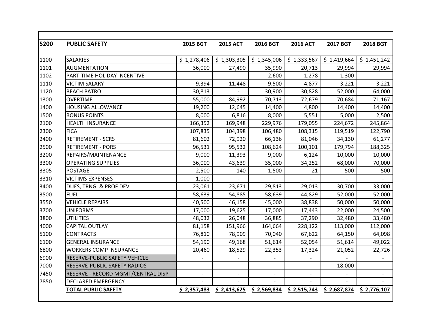| 5200 | <b>PUBLIC SAFETY</b>                | <b>2015 BGT</b>          | <b>2015 ACT</b>          | 2016 BGT                 | <b>2016 ACT</b>           | 2017 BGT    | <b>2018 BGT</b>          |
|------|-------------------------------------|--------------------------|--------------------------|--------------------------|---------------------------|-------------|--------------------------|
| 1100 | <b>SALARIES</b>                     | \$1,278,406              | \$1,303,305              |                          | $$1,345,006$ $$1,333,567$ | \$1,419,664 | \$1,451,242              |
| 1101 | <b>AUGMENTATION</b>                 | 36,000                   | 27,490                   | 35,990                   | 20,713                    | 29,994      | 29,994                   |
| 1102 | PART-TIME HOLIDAY INCENTIVE         |                          |                          | 2,600                    | 1,278                     | 1,300       |                          |
| 1110 | <b>VICTIM SALARY</b>                | 9,394                    | 11,448                   | 9,500                    | 4,877                     | 3,221       | 3,221                    |
| 1120 | <b>BEACH PATROL</b>                 | 30,813                   |                          | 30,900                   | 30,828                    | 52,000      | 64,000                   |
| 1300 | <b>OVERTIME</b>                     | 55,000                   | 84,992                   | 70,713                   | 72,679                    | 70,684      | 71,167                   |
| 1400 | <b>HOUSING ALLOWANCE</b>            | 19,200                   | 12,645                   | 14,400                   | 4,800                     | 14,400      | 14,400                   |
| 1500 | <b>BONUS POINTS</b>                 | 8,000                    | 6,816                    | 8,000                    | 5,551                     | 5,000       | 2,500                    |
| 2100 | <b>HEALTH INSURANCE</b>             | 166,352                  | 169,948                  | 229,976                  | 179,055                   | 224,672     | 245,864                  |
| 2300 | <b>FICA</b>                         | 107,835                  | 104,398                  | 106,480                  | 108,315                   | 119,519     | 122,790                  |
| 2400 | <b>RETIREMENT - SCRS</b>            | 81,602                   | 72,920                   | 66,136                   | 81,046                    | 34,130      | 61,277                   |
| 2500 | <b>RETIREMENT - PORS</b>            | 96,531                   | 95,532                   | 108,624                  | 100,101                   | 179,794     | 188,325                  |
| 3200 | REPAIRS/MAINTENANCE                 | 9,000                    | 11,393                   | 9,000                    | 6,124                     | 10,000      | 10,000                   |
| 3300 | <b>OPERATING SUPPLIES</b>           | 36,000                   | 43,639                   | 35,000                   | 34,252                    | 68,000      | 70,000                   |
| 3305 | <b>POSTAGE</b>                      | 2,500                    | 140                      | 1,500                    | 21                        | 500         | 500                      |
| 3310 | <b>VICTIMS EXPENSES</b>             | 1,000                    |                          |                          |                           |             |                          |
| 3400 | DUES, TRNG, & PROF DEV              | 23,061                   | 23,671                   | 29,813                   | 29,013                    | 30,700      | 33,000                   |
| 3500 | <b>FUEL</b>                         | 58,639                   | 54,885                   | 58,639                   | 44,829                    | 52,000      | 52,000                   |
| 3550 | <b>VEHICLE REPAIRS</b>              | 40,500                   | 46,158                   | 45,000                   | 38,838                    | 50,000      | 50,000                   |
| 3700 | <b>UNIFORMS</b>                     | 17,000                   | 19,625                   | 17,000                   | 17,443                    | 22,000      | 24,500                   |
| 3800 | <b>UTILITIES</b>                    | 48,032                   | 26,048                   | 36,885                   | 37,290                    | 32,480      | 33,480                   |
| 4000 | <b>CAPITAL OUTLAY</b>               | 81,158                   | 151,966                  | 164,664                  | 228,122                   | 113,000     | 112,000                  |
| 5100 | <b>CONTRACTS</b>                    | 76,810                   | 78,909                   | 70,040                   | 67,622                    | 64,150      | 64,098                   |
| 6100 | <b>GENERAL INSURANCE</b>            | 54,190                   | 49,168                   | 51,614                   | 52,054                    | 51,614      | 49,022                   |
| 6800 | <b>WORKERS COMP INSURANCE</b>       | 20,460                   | 18,529                   | 22,353                   | 17,324                    | 21,052      | 22,726                   |
| 6900 | RESERVE-PUBLIC SAFETY VEHICLE       |                          |                          |                          |                           |             |                          |
| 7000 | <b>RESERVE-PUBLIC SAFETY RADIOS</b> | $\overline{\phantom{a}}$ | $\overline{\phantom{a}}$ | $\overline{\phantom{a}}$ | $\blacksquare$            | 18,000      | $\overline{\phantom{a}}$ |
| 7450 | RESERVE - RECORD MGMT/CENTRAL DISP  | $\overline{\phantom{a}}$ | $\overline{\phantom{a}}$ |                          |                           |             |                          |
| 7850 | <b>DECLARED EMERGENCY</b>           |                          |                          |                          |                           |             |                          |
|      | <b>TOTAL PUBLIC SAFETY</b>          | \$2,357,483              | \$2,413,625              | \$2,569,834              | \$2,515,743               | \$2,687,874 | \$2,776,107              |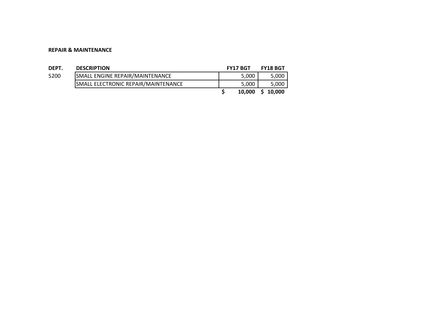#### **REPAIR & MAINTENANCE**

| DEPT. | <b>DESCRIPTION</b>                  | <b>FY17 BGT</b> | <b>FY18 BGT</b> |
|-------|-------------------------------------|-----------------|-----------------|
| 5200  | SMALL ENGINE REPAIR/MAINTENANCE     | 5.000           | 5,000           |
|       | SMALL ELECTRONIC REPAIR/MAINTENANCE | 5.000           | 5,000           |
|       |                                     | 10,000          | S 10.000        |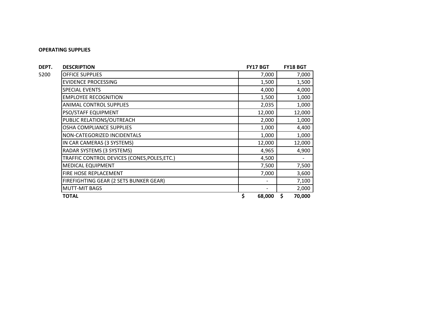| DEPT. | <b>DESCRIPTION</b>                           | <b>FY17 BGT</b>          | <b>FY18 BGT</b> |
|-------|----------------------------------------------|--------------------------|-----------------|
| 5200  | <b>OFFICE SUPPLIES</b>                       | 7,000                    | 7,000           |
|       | <b>EVIDENCE PROCESSING</b>                   | 1,500                    | 1,500           |
|       | <b>SPECIAL EVENTS</b>                        | 4,000                    | 4,000           |
|       | <b>EMPLOYEE RECOGNITION</b>                  | 1,500                    | 1,000           |
|       | <b>ANIMAL CONTROL SUPPLIES</b>               | 2,035                    | 1,000           |
|       | PSO/STAFF EQUIPMENT                          | 12,000                   | 12,000          |
|       | PUBLIC RELATIONS/OUTREACH                    | 2,000                    | 1,000           |
|       | <b>OSHA COMPLIANCE SUPPLIES</b>              | 1,000                    | 4,400           |
|       | NON-CATEGORIZED INCIDENTALS                  | 1,000                    | 1,000           |
|       | IN CAR CAMERAS (3 SYSTEMS)                   | 12,000                   | 12,000          |
|       | RADAR SYSTEMS (3 SYSTEMS)                    | 4,965                    | 4,900           |
|       | TRAFFIC CONTROL DEVICES (CONES, POLES, ETC.) | 4,500                    |                 |
|       | <b>MEDICAL EQUIPMENT</b>                     | 7,500                    | 7,500           |
|       | FIRE HOSE REPLACEMENT                        | 7,000                    | 3,600           |
|       | FIREFIGHTING GEAR (2 SETS BUNKER GEAR)       | $\overline{\phantom{a}}$ | 7,100           |
|       | <b>MUTT-MIT BAGS</b>                         |                          | 2,000           |
|       | <b>TOTAL</b>                                 | \$<br>68,000             | \$<br>70,000    |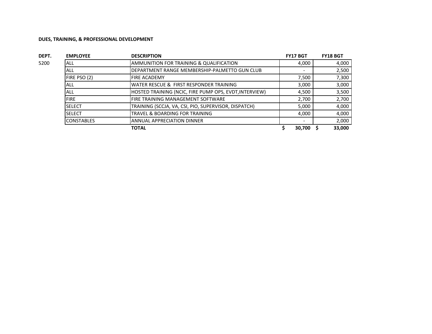| DEPT. | <b>EMPLOYEE</b>   | <b>DESCRIPTION</b>                                     | <b>FY17 BGT</b> | <b>FY18 BGT</b> |
|-------|-------------------|--------------------------------------------------------|-----------------|-----------------|
| 5200  | <b>ALL</b>        | AMMUNITION FOR TRAINING & QUALIFICATION                | 4,000           | 4,000           |
|       | ALL               | DEPARTMENT RANGE MEMBERSHIP-PALMETTO GUN CLUB          |                 | 2,500           |
|       | FIRE PSO (2)      | <b>FIRE ACADEMY</b>                                    | 7,500           | 7,300           |
|       | ALL               | WATER RESCUE & FIRST RESPONDER TRAINING                | 3.000           | 3,000           |
|       | ALL               | HOSTED TRAINING (NCIC, FIRE PUMP OPS, EVDT, INTERVIEW) | 4,500           | 3,500           |
|       | <b>FIRE</b>       | FIRE TRAINING MANAGEMENT SOFTWARE                      | 2,700           | 2,700           |
|       | <b>SELECT</b>     | TRAINING (SCCJA, VA, CSI, PIO, SUPERVISOR, DISPATCH)   | 5,000           | 4,000           |
|       | <b>SELECT</b>     | TRAVEL & BOARDING FOR TRAINING                         | 4.000           | 4,000           |
|       | <b>CONSTABLES</b> | <b>ANNUAL APPRECIATION DINNER</b>                      |                 | 2,000           |
|       |                   | <b>TOTAL</b>                                           | 30.700          | 33,000          |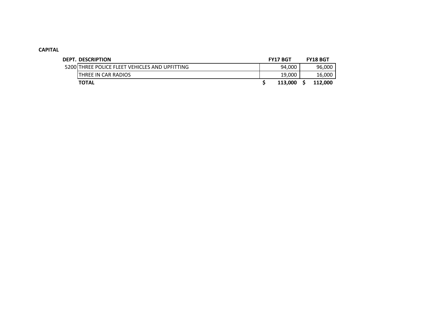## **CAPITAL**

| <b>DEPT. DESCRIPTION</b>                       | <b>FY17 BGT</b> | <b>FY18 BGT</b> |
|------------------------------------------------|-----------------|-----------------|
| 5200 THREE POLICE FLEET VEHICLES AND UPFITTING | 94,000          | 96,000          |
| <b>THREE IN CAR RADIOS</b>                     | 19,000          | 16,000          |
| <b>TOTAL</b>                                   | 113.000         | 112,000         |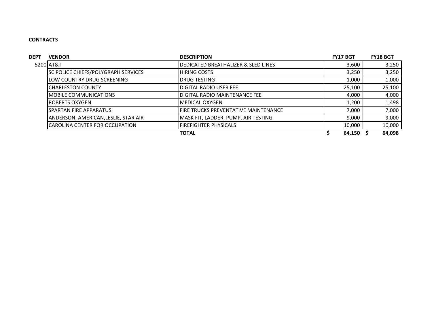## **CONTRACTS**

| <b>DEPT</b> | <b>VENDOR</b>                              | <b>DESCRIPTION</b>                   | <b>FY17 BGT</b> | <b>FY18 BGT</b> |
|-------------|--------------------------------------------|--------------------------------------|-----------------|-----------------|
|             | 5200 AT&T                                  | DEDICATED BREATHALIZER & SLED LINES  | 3,600           | 3,250           |
|             | <b>SC POLICE CHIEFS/POLYGRAPH SERVICES</b> | <b>HIRING COSTS</b>                  | 3,250           | 3,250           |
|             | LOW COUNTRY DRUG SCREENING                 | <b>DRUG TESTING</b>                  | 1,000           | 1,000           |
|             | <b>CHARLESTON COUNTY</b>                   | <b>DIGITAL RADIO USER FEE</b>        | 25,100          | 25,100          |
|             | IMOBILE COMMUNICATIONS                     | DIGITAL RADIO MAINTENANCE FEE        | 4,000           | 4,000           |
|             | IROBERTS OXYGEN                            | <b>MEDICAL OXYGEN</b>                | 1,200           | 1,498           |
|             | ISPARTAN FIRE APPARATUS                    | FIRE TRUCKS PREVENTATIVE MAINTENANCE | 7,000           | 7,000           |
|             | ANDERSON, AMERICAN, LESLIE, STAR AIR       | MASK FIT, LADDER, PUMP, AIR TESTING  | 9,000           | 9,000           |
|             | <b>CAROLINA CENTER FOR OCCUPATION</b>      | <b>FIREFIGHTER PHYSICALS</b>         | 10,000          | 10,000          |
|             |                                            | <b>TOTAL</b>                         | 64,150          | 64,098          |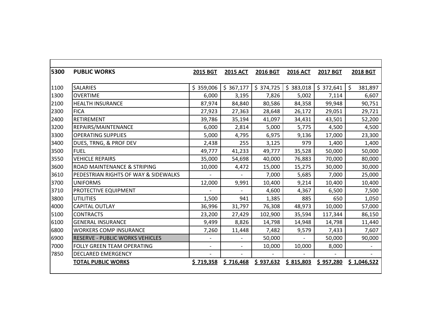| 5300 | <b>PUBLIC WORKS</b>                    | <b>2015 BGT</b>          | <b>2015 ACT</b> | 2016 BGT  | <b>2016 ACT</b> | 2017 BGT  | <b>2018 BGT</b>         |
|------|----------------------------------------|--------------------------|-----------------|-----------|-----------------|-----------|-------------------------|
|      |                                        |                          |                 |           |                 |           |                         |
| 1100 | <b>SALARIES</b>                        | \$359,006                | \$367,177       | \$374,725 | \$383,018       | \$372,641 | <sup>5</sup><br>381,897 |
| 1300 | <b>OVERTIME</b>                        | 6,000                    | 3,195           | 7,826     | 5,002           | 7,114     | 6,607                   |
| 2100 | <b>HEALTH INSURANCE</b>                | 87,974                   | 84,840          | 80,586    | 84,358          | 99,948    | 90,751                  |
| 2300 | <b>FICA</b>                            | 27,923                   | 27,363          | 28,648    | 26,172          | 29,051    | 29,721                  |
| 2400 | RETIREMENT                             | 39,786                   | 35,194          | 41,097    | 34,431          | 43,501    | 52,200                  |
| 3200 | REPAIRS/MAINTENANCE                    | 6,000                    | 2,814           | 5,000     | 5,775           | 4,500     | 4,500                   |
| 3300 | <b>OPERATING SUPPLIES</b>              | 5,000                    | 4,795           | 6,975     | 9,136           | 17,000    | 23,300                  |
| 3400 | DUES, TRNG, & PROF DEV                 | 2,438                    | 255             | 3,125     | 979             | 1,400     | 1,400                   |
| 3500 | <b>FUEL</b>                            | 49,777                   | 41,233          | 49,777    | 35,528          | 50,000    | 50,000                  |
| 3550 | <b>VEHICLE REPAIRS</b>                 | 35,000                   | 54,698          | 40,000    | 76,883          | 70,000    | 80,000                  |
| 3600 | <b>ROAD MAINTENANCE &amp; STRIPING</b> | 10,000                   | 4,472           | 15,000    | 15,275          | 30,000    | 30,000                  |
| 3610 | PEDESTRIAN RIGHTS OF WAY & SIDEWALKS   |                          | $\overline{a}$  | 7,000     | 5,685           | 7,000     | 25,000                  |
| 3700 | <b>UNIFORMS</b>                        | 12,000                   | 9,991           | 10,400    | 9,214           | 10,400    | 10,400                  |
| 3710 | PROTECTIVE EQUIPMENT                   |                          |                 | 4,600     | 4,367           | 6,500     | 7,500                   |
| 3800 | <b>UTILITIES</b>                       | 1,500                    | 941             | 1,385     | 885             | 650       | 1,050                   |
| 4000 | <b>CAPITAL OUTLAY</b>                  | 36,996                   | 31,797          | 76,308    | 48,973          | 10,000    | 57,000                  |
| 5100 | <b>CONTRACTS</b>                       | 23,200                   | 27,429          | 102,900   | 35,594          | 117,344   | 86,150                  |
| 6100 | <b>GENERAL INSURANCE</b>               | 9,499                    | 8,826           | 14,798    | 14,948          | 14,798    | 11,440                  |
| 6800 | <b>WORKERS COMP INSURANCE</b>          | 7,260                    | 11,448          | 7,482     | 9,579           | 7,433     | 7,607                   |
| 6900 | <b>RESERVE - PUBLIC WORKS VEHICLES</b> |                          |                 | 50,000    |                 | 50,000    | 90,000                  |
| 7000 | <b>FOLLY GREEN TEAM OPERATING</b>      | $\overline{\phantom{a}}$ |                 | 10,000    | 10,000          | 8,000     |                         |
| 7850 | <b>DECLARED EMERGENCY</b>              |                          |                 |           |                 |           |                         |
|      | <b>TOTAL PUBLIC WORKS</b>              | \$719,358                | \$716,468       | \$937,632 | \$815,803       | \$957,280 | \$1,046,522             |
|      |                                        |                          |                 |           |                 |           |                         |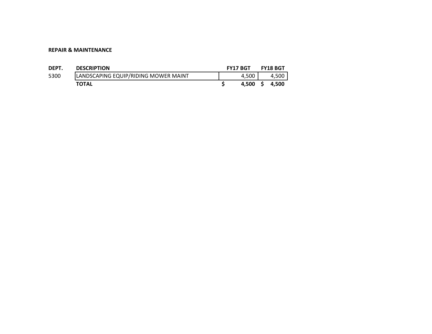#### **REPAIR & MAINTENANCE**

| DEPT. | <b>DESCRIPTION</b>                   | <b>FY17 BGT</b> |       |     | <b>FY18 BGT</b> |
|-------|--------------------------------------|-----------------|-------|-----|-----------------|
| 5300  | LANDSCAPING EQUIP/RIDING MOWER MAINT |                 | 4.500 |     | 4.500           |
|       | <b>TOTAL</b>                         |                 | 4.500 | - S | 4.500           |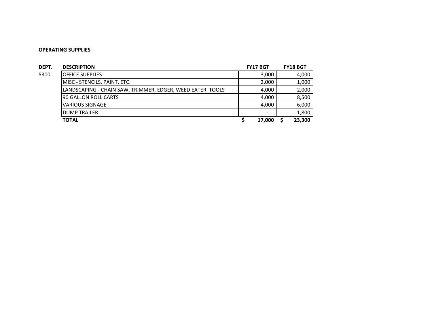| DEPT. | <b>DESCRIPTION</b>                                         | <b>FY17 BGT</b>          | <b>FY18 BGT</b> |
|-------|------------------------------------------------------------|--------------------------|-----------------|
| 5300  | <b>IOFFICE SUPPLIES</b>                                    | 3,000                    | 4,000           |
|       | MISC - STENCILS, PAINT, ETC.                               | 2,000                    | 1,000           |
|       | LANDSCAPING - CHAIN SAW, TRIMMER, EDGER, WEED EATER, TOOLS | 4,000                    | 2,000           |
|       | 90 GALLON ROLL CARTS                                       | 4,000                    | 8,500           |
|       | VARIOUS SIGNAGE                                            | 4,000                    | 6,000           |
|       | <b>IDUMP TRAILER</b>                                       | $\overline{\phantom{a}}$ | 1.800           |
|       | <b>TOTAL</b>                                               | 17,000                   | 23.300          |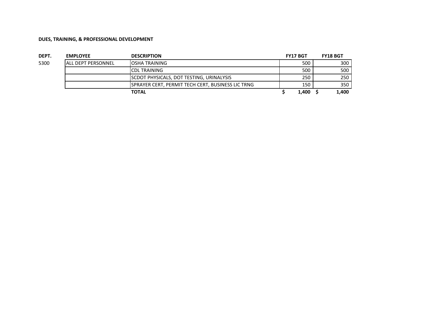| DEPT. | <b>EMPLOYEE</b>            | <b>DESCRIPTION</b>                                | <b>FY17 BGT</b> | <b>FY18 BGT</b> |
|-------|----------------------------|---------------------------------------------------|-----------------|-----------------|
| 5300  | <b>IALL DEPT PERSONNEL</b> | <b>IOSHA TRAINING</b>                             | 500             | 300             |
|       |                            | <b>ICDL TRAINING</b>                              | 500             | 500             |
|       |                            | <b>ISCDOT PHYSICALS, DOT TESTING, URINALYSIS</b>  | 250             | 250             |
|       |                            | SPRAYER CERT, PERMIT TECH CERT, BUSINESS LIC TRNG | 150             | 350             |
|       |                            | TOTAL                                             | 1,400           | 1,400           |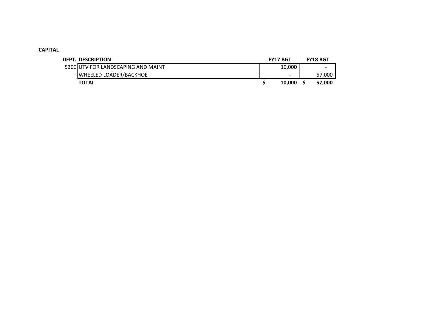## **CAPITAL**

| <b>DEPT. DESCRIPTION</b>           | <b>FY17 BGT</b>          | <b>FY18 BGT</b> |
|------------------------------------|--------------------------|-----------------|
| 5300 UTV FOR LANDSCAPING AND MAINT | 10,000                   | -               |
| <b>WHEELED LOADER/BACKHOE</b>      | $\overline{\phantom{0}}$ | 57,000          |
| <b>TOTAL</b>                       | 10.000                   | 57,000          |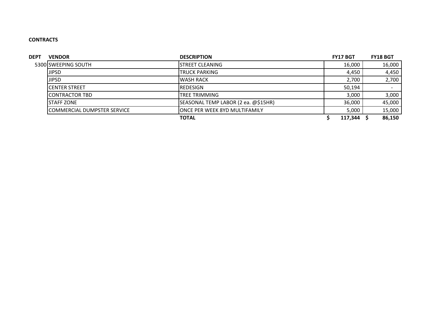## **CONTRACTS**

| <b>DEPT</b> | <b>VENDOR</b>               | <b>DESCRIPTION</b>                  | <b>FY17 BGT</b> | <b>FY18 BGT</b> |
|-------------|-----------------------------|-------------------------------------|-----------------|-----------------|
|             | 5300 SWEEPING SOUTH         | ISTREET CLEANING                    | 16,000          | 16,000          |
|             | <b>JIPSD</b>                | <b>ITRUCK PARKING</b>               | 4,450           | 4,450           |
|             | <b>JIPSD</b>                | <b>WASH RACK</b>                    | 2,700           | 2,700           |
|             | ICENTER STREET              | REDESIGN                            | 50,194          |                 |
|             | ICONTRACTOR TBD             | ITREE TRIMMING                      | 3,000           | 3,000           |
|             | <b>ISTAFF ZONE</b>          | SEASONAL TEMP LABOR (2 ea. @\$15HR) | 36,000          | 45,000          |
|             | COMMERCIAL DUMPSTER SERVICE | IONCE PER WEEK 8YD MULTIFAMILY      | 5,000           | 15,000          |
|             |                             | <b>TOTAL</b>                        | 117,344         | 86,150          |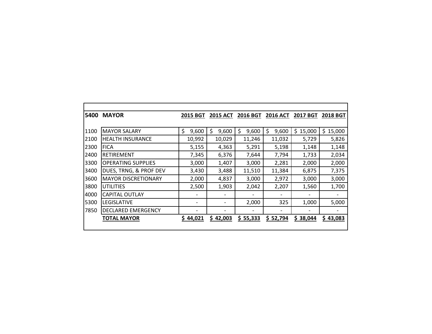| 5400 | <b>MAYOR</b>               | <b>2015 BGT</b> | <b>2015 ACT</b> | 2016 BGT    | <b>2016 ACT</b> | <b>2017 BGT</b> | <b>2018 BGT</b> |
|------|----------------------------|-----------------|-----------------|-------------|-----------------|-----------------|-----------------|
|      |                            |                 |                 |             |                 |                 |                 |
| 1100 | <b>MAYOR SALARY</b>        | \$<br>9,600     | \$<br>9,600     | \$<br>9,600 | \$<br>9,600     | \$<br>15,000    | \$.<br>15,000   |
| 2100 | <b>HEALTH INSURANCE</b>    | 10,992          | 10,029          | 11,246      | 11,032          | 5,729           | 5,826           |
| 2300 | <b>FICA</b>                | 5,155           | 4,363           | 5,291       | 5,198           | 1,148           | 1,148           |
| 2400 | RETIREMENT                 | 7,345           | 6,376           | 7,644       | 7,794           | 1,733           | 2,034           |
| 3300 | <b>OPERATING SUPPLIES</b>  | 3,000           | 1,407           | 3,000       | 2,281           | 2,000           | 2,000           |
| 3400 | DUES, TRNG, & PROF DEV     | 3,430           | 3,488           | 11,510      | 11,384          | 6,875           | 7,375           |
| 3600 | <b>MAYOR DISCRETIONARY</b> | 2,000           | 4,837           | 3,000       | 2,972           | 3,000           | 3,000           |
| 3800 | utilities                  | 2,500           | 1,903           | 2,042       | 2,207           | 1,560           | 1,700           |
| 4000 | <b>CAPITAL OUTLAY</b>      |                 |                 |             |                 |                 |                 |
| 5300 | LEGISLATIVE                |                 |                 | 2,000       | 325             | 1,000           | 5,000           |
| 7850 | <b>DECLARED EMERGENCY</b>  |                 |                 |             |                 |                 |                 |
|      | <b>TOTAL MAYOR</b>         | \$44,021        | \$42,003        | \$55,333    | \$52,794        | \$38,044        | \$43,083        |
|      |                            |                 |                 |             |                 |                 |                 |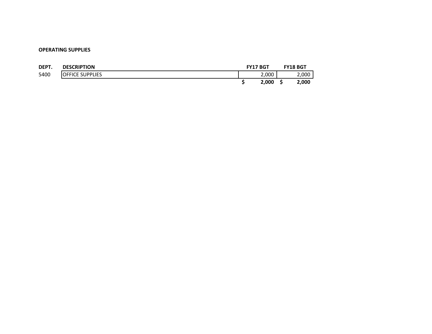| DEPT. | <b>DESCRIPTION</b>     | <b>FY17 BGT</b> | <b>FY18 BGT</b> |
|-------|------------------------|-----------------|-----------------|
| 5400  | <b>OFFICE SUPPLIES</b> | 2,000           | 2,000           |
|       |                        | 2.000           | 2,000           |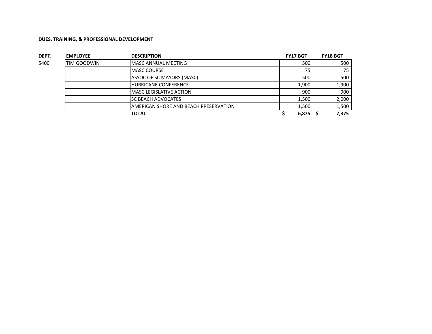| DEPT. | <b>EMPLOYEE</b>     | <b>DESCRIPTION</b>                    | <b>FY17 BGT</b> | <b>FY18 BGT</b> |
|-------|---------------------|---------------------------------------|-----------------|-----------------|
| 5400  | <b>ITIM GOODWIN</b> | <b>MASC ANNUAL MEETING</b>            | 500             | 500             |
|       |                     | <b>MASC COURSE</b>                    | 75              | 75              |
|       |                     | ASSOC OF SC MAYORS (MASC)             | 500             | 500             |
|       |                     | <b>HURRICANE CONFERENCE</b>           | 1,900           | 1,900           |
|       |                     | <b>IMASC LEGISLATIVE ACTION</b>       | 900             | 900             |
|       |                     | <b>SC BEACH ADVOCATES</b>             | 1,500           | 2,000           |
|       |                     | AMERICAN SHORE AND BEACH PRESERVATION | 1,500           | 1,500           |
|       |                     | <b>TOTAL</b>                          | 6,875           | 7,375           |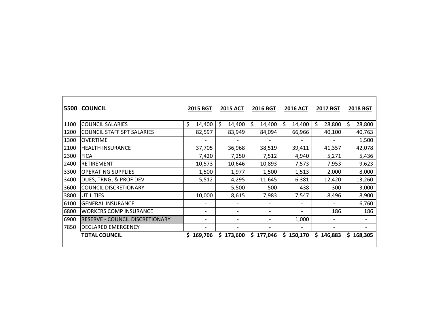|      | <b>5500 COUNCIL</b>                    | 2015 BGT                 |    | <b>2015 ACT</b>          | 2016 BGT                     |    | 2016 ACT | <b>2017 BGT</b> |    | <b>2018 BGT</b>          |
|------|----------------------------------------|--------------------------|----|--------------------------|------------------------------|----|----------|-----------------|----|--------------------------|
| 1100 | <b>COUNCIL SALARIES</b>                | \$<br>14,400             | Ś. | 14,400                   | \$<br>14,400                 | Ś. | 14,400   | \$<br>28,800    | \$ | 28,800                   |
| 1200 | <b>COUNCIL STAFF SPT SALARIES</b>      | 82,597                   |    | 83,949                   | 84,094                       |    | 66,966   | 40,100          |    | 40,763                   |
| 1300 | <b>OVERTIME</b>                        |                          |    |                          |                              |    |          |                 |    | 1,500                    |
| 2100 | <b>HEALTH INSURANCE</b>                | 37,705                   |    | 36,968                   | 38,519                       |    | 39,411   | 41,357          |    | 42,078                   |
| 2300 | <b>FICA</b>                            | 7,420                    |    | 7,250                    | 7,512                        |    | 4,940    | 5,271           |    | 5,436                    |
| 2400 | <b>RETIREMENT</b>                      | 10,573                   |    | 10,646                   | 10,893                       |    | 7,573    | 7,953           |    | 9,623                    |
| 3300 | <b>OPERATING SUPPLIES</b>              | 1,500                    |    | 1,977                    | 1,500                        |    | 1,513    | 2,000           |    | 8,000                    |
| 3400 | DUES, TRNG, & PROF DEV                 | 5,512                    |    | 4,295                    | 11,645                       |    | 6,381    | 12,420          |    | 13,260                   |
| 3600 | <b>COUNCIL DISCRETIONARY</b>           | $\overline{\phantom{0}}$ |    | 5,500                    | 500                          |    | 438      | 300             |    | 3,000                    |
| 3800 | <b>UTILITIES</b>                       | 10,000                   |    | 8,615                    | 7,983                        |    | 7,547    | 8,496           |    | 8,900                    |
| 6100 | <b>GENERAL INSURANCE</b>               | $\overline{\phantom{0}}$ |    |                          |                              |    |          |                 |    | 6,760                    |
| 6800 | <b>WORKERS COMP INSURANCE</b>          | $\overline{\phantom{a}}$ |    |                          | $\qquad \qquad \blacksquare$ |    |          | 186             |    | 186                      |
| 6900 | <b>RESERVE - COUNCIL DISCRETIONARY</b> | -                        |    | $\overline{\phantom{a}}$ | $\qquad \qquad \blacksquare$ |    | 1,000    |                 |    |                          |
| 7850 | <b>DECLARED EMERGENCY</b>              |                          |    |                          |                              |    |          |                 |    | $\overline{\phantom{0}}$ |
|      | <b>TOTAL COUNCIL</b>                   | \$169,706                |    | \$173,600                | \$177,046                    | S. | 150,170  | \$146,883       | S. | 168,305                  |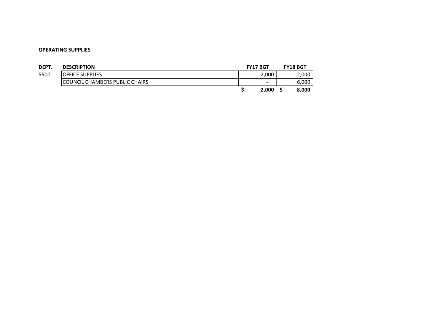| DEPT. | <b>DESCRIPTION</b>             | <b>FY17 BGT</b>          | <b>FY18 BGT</b> |
|-------|--------------------------------|--------------------------|-----------------|
| 5500  | <b>IOFFICE SUPPLIES</b>        | 2,000                    | 2,000           |
|       | COUNCIL CHAMBERS PUBLIC CHAIRS | $\overline{\phantom{a}}$ | 6,000           |
|       |                                | 2,000                    | 8.000           |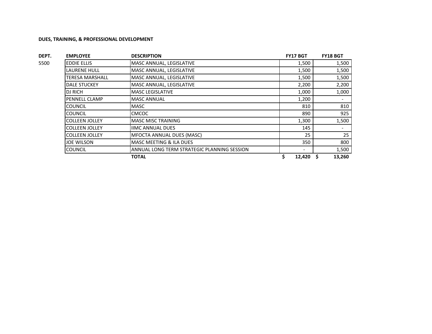| DEPT. | <b>EMPLOYEE</b>        | <b>DESCRIPTION</b>                          | <b>FY17 BGT</b> | <b>FY18 BGT</b>          |
|-------|------------------------|---------------------------------------------|-----------------|--------------------------|
| 5500  | <b>EDDIE ELLIS</b>     | MASC ANNUAL, LEGISLATIVE                    | 1,500           | 1,500                    |
|       | <b>LAURENE HULL</b>    | MASC ANNUAL, LEGISLATIVE                    | 1,500           | 1,500                    |
|       | <b>TERESA MARSHALL</b> | MASC ANNUAL, LEGISLATIVE                    | 1,500           | 1,500                    |
|       | <b>DALE STUCKEY</b>    | MASC ANNUAL, LEGISLATIVE                    | 2,200           | 2,200                    |
|       | DJ RICH                | <b>MASC LEGISLATIVE</b>                     | 1,000           | 1,000                    |
|       | PENNELL CLAMP          | <b>MASC ANNUAL</b>                          | 1,200           | $\overline{\phantom{a}}$ |
|       | <b>COUNCIL</b>         | <b>MASC</b>                                 | 810             | 810                      |
|       | <b>COUNCIL</b>         | <b>CMCOC</b>                                | 890             | 925                      |
|       | <b>COLLEEN JOLLEY</b>  | <b>MASC MISC TRAINING</b>                   | 1,300           | 1,500                    |
|       | <b>COLLEEN JOLLEY</b>  | <b>IIMC ANNUAL DUES</b>                     | 145             | $\overline{\phantom{a}}$ |
|       | <b>COLLEEN JOLLEY</b>  | <b>MFOCTA ANNUAL DUES (MASC)</b>            | 25              | 25                       |
|       | <b>JOE WILSON</b>      | <b>MASC MEETING &amp; ILA DUES</b>          | 350             | 800                      |
|       | <b>COUNCIL</b>         | ANNUAL LONG TERM STRATEGIC PLANNING SESSION |                 | 1,500                    |
|       |                        | <b>TOTAL</b>                                | 12,420          | 13,260                   |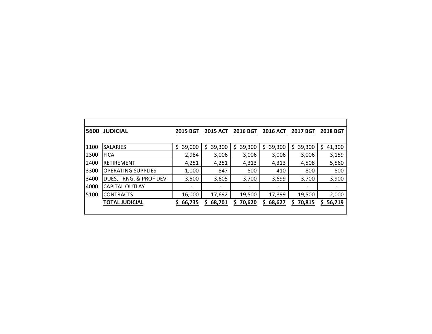| 5600 | <b>JUDICIAL</b>           | <b>2015 BGT</b> | <b>2015 ACT</b> | <b>2016 BGT</b> | <b>2016 ACT</b> | <b>2017 BGT</b>          | <b>2018 BGT</b> |
|------|---------------------------|-----------------|-----------------|-----------------|-----------------|--------------------------|-----------------|
|      |                           |                 |                 |                 |                 |                          |                 |
| 1100 | <b>SALARIES</b>           | \$<br>39,000    | 39,300<br>\$    | 39,300<br>S     | 39,300<br>Ś     | 39,300<br>Ś              | \$<br>41,300    |
| 2300 | <b>FICA</b>               | 2,984           | 3,006           | 3,006           | 3,006           | 3,006                    | 3,159           |
| 2400 | <b>RETIREMENT</b>         | 4,251           | 4,251           | 4,313           | 4,313           | 4,508                    | 5,560           |
| 3300 | <b>OPERATING SUPPLIES</b> | 1,000           | 847             | 800             | 410             | 800                      | 800             |
| 3400 | DUES, TRNG, & PROF DEV    | 3,500           | 3,605           | 3,700           | 3,699           | 3,700                    | 3,900           |
| 4000 | <b>CAPITAL OUTLAY</b>     |                 |                 |                 |                 | $\overline{\phantom{a}}$ |                 |
| 5100 | <b>CONTRACTS</b>          | 16,000          | 17,692          | 19,500          | 17,899          | 19,500                   | 2,000           |
|      | <b>TOTAL JUDICIAL</b>     | \$66,735        | 68,701<br>S.    | 70,620<br>S     | 68,627<br>S     | 70,815<br>S              | 56,719<br>S.    |
|      |                           |                 |                 |                 |                 |                          |                 |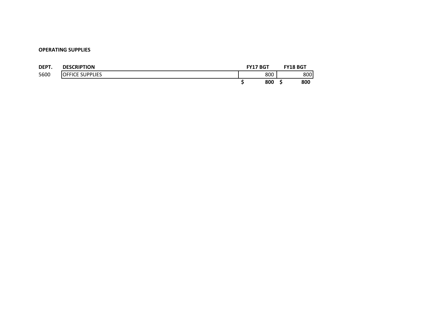| DEPT. | <b>DESCRIPTION</b>     | <b>FY17 BGT</b> | <b>FY18 BGT</b> |
|-------|------------------------|-----------------|-----------------|
| 5600  | <b>OFFICE SUPPLIES</b> | 800             | 800             |
|       |                        | 800             | 800             |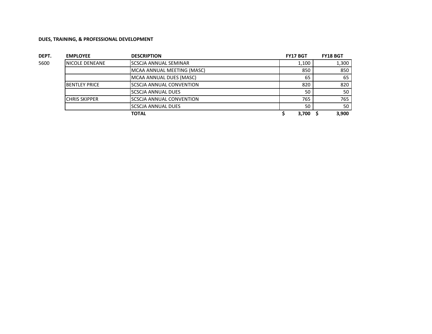| DEPT. | <b>EMPLOYEE</b>        | <b>DESCRIPTION</b>         | <b>FY17 BGT</b> | <b>FY18 BGT</b> |
|-------|------------------------|----------------------------|-----------------|-----------------|
| 5600  | <b>INICOLE DENEANE</b> | ISCSCJA ANNUAL SEMINAR     | 1.100           | 1,300           |
|       |                        | MCAA ANNUAL MEETING (MASC) | 850             | 850             |
|       |                        | MCAA ANNUAL DUES (MASC)    | 65              | 65              |
|       | IBENTLEY PRICE         | ISCSCJA ANNUAL CONVENTION  | 820             | 820             |
|       |                        | ISCSCJA ANNUAL DUES        | 50              | 50              |
|       | <b>CHRIS SKIPPER</b>   | ISCSCJA ANNUAL CONVENTION  | 765             | 765             |
|       |                        | ISCSCJA ANNUAL DUES        | 50              | 50              |
|       |                        | <b>TOTAL</b>               | 3,700           | 3.900           |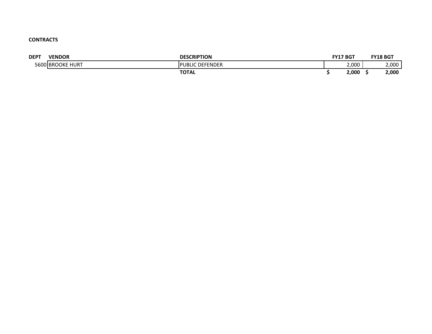## **CONTRACTS**

| <b>DEPT</b> | <b>VENDOR</b>              | <b>DESCRIPTION</b>              | <b>FY17 BGT</b> | <b>FY18 BGT</b> |
|-------------|----------------------------|---------------------------------|-----------------|-----------------|
|             | 5600 BROOKE<br><b>HURT</b> | DEFENDER<br><b>DI</b><br>'UBLIC | 2,000           | 2,000           |
|             |                            | <b>TOTAL</b>                    | 2,000           | 2,000           |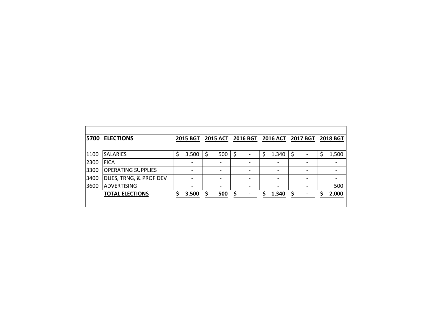| 15700 | <b>ELECTIONS</b>          |   | <b>2015 BGT</b> |     |   | 2015 ACT 2016 BGT | <b>2016 ACT</b> | 2017 BGT | <b>2018 BGT</b> |
|-------|---------------------------|---|-----------------|-----|---|-------------------|-----------------|----------|-----------------|
|       |                           |   |                 |     |   |                   |                 |          |                 |
| 1100  | <b>SALARIES</b>           | S | 3,500           | 500 |   |                   | 1,340           |          | 1,500           |
| 2300  | <b>IFICA</b>              |   |                 |     |   |                   |                 |          |                 |
| 3300  | <b>OPERATING SUPPLIES</b> |   |                 |     |   |                   |                 |          | -               |
| 3400  | DUES, TRNG, & PROF DEV    |   |                 |     |   |                   |                 |          |                 |
| 3600  | <b>ADVERTISING</b>        |   |                 |     |   |                   |                 |          | 500             |
|       | <b>TOTAL ELECTIONS</b>    |   | 3,500           | 500 | ς | $\blacksquare$    | 1,340           |          | 2,000           |
|       |                           |   |                 |     |   |                   |                 |          |                 |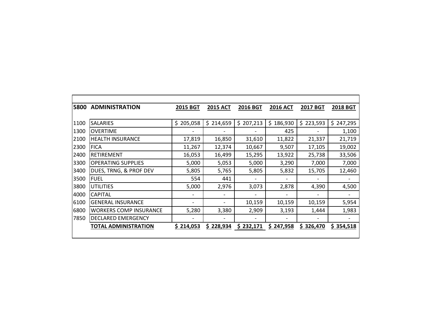| 5800 | <b>ADMINISTRATION</b>         | <b>2015 BGT</b> | <b>2015 ACT</b> | <b>2016 BGT</b> | <b>2016 ACT</b> | <b>2017 BGT</b> | <b>2018 BGT</b> |
|------|-------------------------------|-----------------|-----------------|-----------------|-----------------|-----------------|-----------------|
|      |                               |                 |                 |                 |                 |                 |                 |
| 1100 | <b>SALARIES</b>               | \$205,058       | \$214,659       | 207,213<br>\$   | \$<br>186,930   | \$<br>223,593   | \$247,295       |
| 1300 | <b>OVERTIME</b>               |                 |                 |                 | 425             |                 | 1,100           |
| 2100 | <b>HEALTH INSURANCE</b>       | 17,819          | 16,850          | 31,610          | 11,822          | 21,337          | 21,719          |
| 2300 | <b>FICA</b>                   | 11,267          | 12,374          | 10,667          | 9,507           | 17,105          | 19,002          |
| 2400 | RETIREMENT                    | 16,053          | 16,499          | 15,295          | 13,922          | 25,738          | 33,506          |
| 3300 | <b>OPERATING SUPPLIES</b>     | 5,000           | 5,053           | 5,000           | 3,290           | 7,000           | 7,000           |
| 3400 | DUES, TRNG, & PROF DEV        | 5,805           | 5,765           | 5,805           | 5,832           | 15,705          | 12,460          |
| 3500 | <b>FUEL</b>                   | 554             | 441             |                 |                 |                 |                 |
| 3800 | <b>UTILITIES</b>              | 5,000           | 2,976           | 3,073           | 2,878           | 4,390           | 4,500           |
| 4000 | <b>CAPITAL</b>                |                 |                 |                 |                 |                 |                 |
| 6100 | <b>GENERAL INSURANCE</b>      |                 |                 | 10,159          | 10,159          | 10,159          | 5,954           |
| 6800 | <b>WORKERS COMP INSURANCE</b> | 5,280           | 3,380           | 2,909           | 3,193           | 1,444           | 1,983           |
| 7850 | <b>DECLARED EMERGENCY</b>     |                 |                 |                 |                 |                 |                 |
|      | TOTAL ADMINISTRATION          | \$214,053       | \$228,934       | \$232,171       | \$<br>247,958   | \$326,470       | \$354,518       |
|      |                               |                 |                 |                 |                 |                 |                 |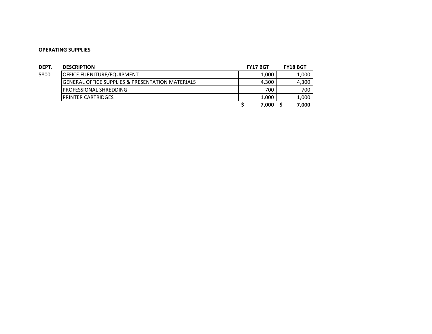| DEPT. | <b>DESCRIPTION</b>                                          | <b>FY17 BGT</b> | <b>FY18 BGT</b> |
|-------|-------------------------------------------------------------|-----------------|-----------------|
| 5800  | <b>OFFICE FURNITURE/EQUIPMENT</b>                           | 1,000           | 1,000           |
|       | <b>GENERAL OFFICE SUPPLIES &amp; PRESENTATION MATERIALS</b> | 4,300           | 4,300           |
|       | <b>PROFESSIONAL SHREDDING</b>                               | 700             | 700             |
|       | <b>IPRINTER CARTRIDGES</b>                                  | 1,000           | 1.000           |
|       |                                                             | 7,000           | 7.000           |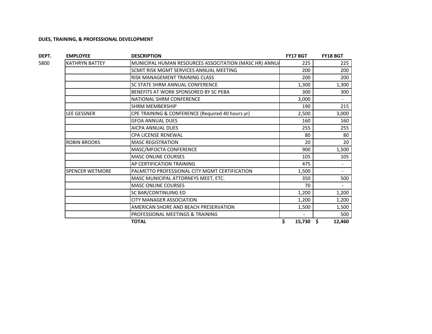| DEPT. | <b>EMPLOYEE</b>        | <b>DESCRIPTION</b>                                     | <b>FY17 BGT</b>          | <b>FY18 BGT</b>          |
|-------|------------------------|--------------------------------------------------------|--------------------------|--------------------------|
| 5800  | <b>KATHRYN BATTEY</b>  | MUNICIPAL HUMAN RESOURCES ASSOCITATION (MASC HR) ANNUA | 225                      | 225                      |
|       |                        | SCMIT RISK MGMT SERVICES ANNUAL MEETING                | 200                      | 200                      |
|       |                        | RISK MANAGEMENT TRAINING CLASS                         | 200                      | 200                      |
|       |                        | <b>SC STATE SHRM ANNUAL CONFERENCE</b>                 | 1,300                    | 1,300                    |
|       |                        | BENEFITS AT WORK SPONSORED BY SC PEBA                  | 300                      | 300                      |
|       |                        | NATIONAL SHRM CONFERENCE                               | 3,000                    | $\overline{\phantom{0}}$ |
|       |                        | <b>I</b> SHRM MEMBERSHIP                               | 190                      | 215                      |
|       | <b>LEE GESSNER</b>     | CPE TRAINING & CONFERENCE (Required 40 hours yr)       | 2,500                    | 3,000                    |
|       |                        | <b>GFOA ANNUAL DUES</b>                                | 160                      | 160                      |
|       |                        | <b>AICPA ANNUAL DUES</b>                               | 255                      | 255                      |
|       |                        | <b>CPA LICENSE RENEWAL</b>                             | 80                       | 80                       |
|       | <b>ROBIN BROOKS</b>    | <b>MASC REGISTRATION</b>                               | 20                       | 20                       |
|       |                        | MASC/MFOCTA CONFERENCE                                 | 900                      | 1,500                    |
|       |                        | <b>MASC ONLINE COURSES</b>                             | 105                      | 105                      |
|       |                        | AP CERTIFICATION TRAINING                              | 475                      | $\overline{\phantom{a}}$ |
|       | <b>SPENCER WETMORE</b> | PALMETTO PROFESSIONAL CITY MGMT CERTIFICATION          | 1,500                    | $\overline{\phantom{0}}$ |
|       |                        | <b>MASC MUNICIPAL ATTORNEYS MEET. ETC.</b>             | 350                      | 500                      |
|       |                        | <b>MASC ONLINE COURSES</b>                             | 70                       | $\overline{\phantom{0}}$ |
|       |                        | <b>SC BAR/CONTINUING ED</b>                            | 1,200                    | 1,200                    |
|       |                        | <b>ICITY MANAGER ASSOCIATION</b>                       | 1,200                    | 1,200                    |
|       |                        | AMERICAN SHORE AND BEACH PRESERVATION                  | 1,500                    | 1,500                    |
|       |                        | PROFESSIONAL MEETINGS & TRAINING                       | $\overline{\phantom{0}}$ | 500                      |
|       |                        | <b>TOTAL</b>                                           | \$<br>15,730             | \$.<br>12,460            |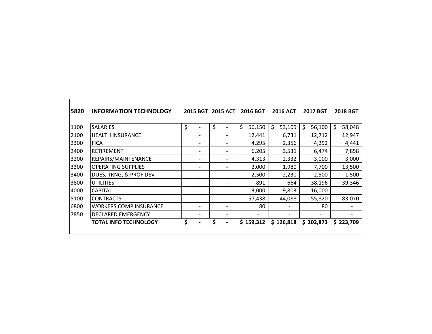| 5820 | <b>INFORMATION TECHNOLOGY</b> | <b>2015 BGT</b> | <b>2015 ACT</b> | <b>2016 BGT</b> | <b>2016 ACT</b>          | <b>2017 BGT</b> | <b>2018 BGT</b> |  |
|------|-------------------------------|-----------------|-----------------|-----------------|--------------------------|-----------------|-----------------|--|
|      |                               |                 |                 |                 |                          |                 |                 |  |
| 1100 | <b>SALARIES</b>               | \$              | \$              | \$<br>56,150    | \$<br>53,105             | \$<br>56,100    | \$<br>58,048    |  |
| 2100 | <b>HEALTH INSURANCE</b>       |                 |                 | 12,441          | 6,731                    | 12,712          | 12,947          |  |
| 2300 | <b>FICA</b>                   |                 |                 | 4,295           | 2,356                    | 4,292           | 4,441           |  |
| 2400 | RETIREMENT                    |                 |                 | 6,205           | 3,531                    | 6,474           | 7,858           |  |
| 3200 | REPAIRS/MAINTENANCE           |                 | -               | 4,313           | 2,332                    | 3,000           | 3,000           |  |
| 3300 | <b>OPERATING SUPPLIES</b>     |                 |                 | 2,000           | 1,980                    | 7,700           | 13,500          |  |
| 3400 | DUES, TRNG, & PROF DEV        |                 |                 | 2,500           | 2,230                    | 2,500           | 1,500           |  |
| 3800 | <b>UTILITIES</b>              |                 |                 | 891             | 664                      | 38,196          | 39,346          |  |
| 4000 | <b>CAPITAL</b>                |                 |                 | 13,000          | 9,803                    | 16,000          |                 |  |
| 5100 | <b>CONTRACTS</b>              |                 | -               | 57,438          | 44,088                   | 55,820          | 83,070          |  |
| 6800 | <b>WORKERS COMP INSURANCE</b> |                 | -               | 80              | $\overline{\phantom{0}}$ | 80              |                 |  |
| 7850 | <b>DECLARED EMERGENCY</b>     |                 | -               |                 |                          |                 |                 |  |
|      | <b>TOTAL INFO TECHNOLOGY</b>  |                 |                 | Ś<br>159,312    | S.<br>126,818            | 202,873<br>S.   | \$223,709       |  |
|      |                               |                 |                 |                 |                          |                 |                 |  |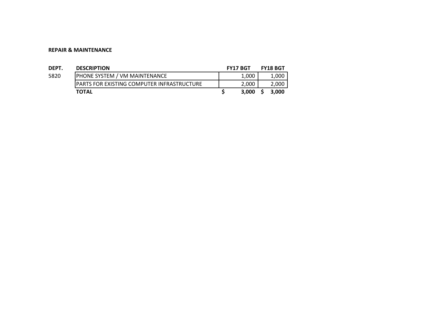#### **REPAIR & MAINTENANCE**

| DEPT. | <b>DESCRIPTION</b>                                | <b>FY17 BGT</b> | <b>FY18 BGT</b> |
|-------|---------------------------------------------------|-----------------|-----------------|
| 5820  | <b>PHONE SYSTEM / VM MAINTENANCE</b>              | 1,000           | 1,000           |
|       | <b>PARTS FOR EXISTING COMPUTER INFRASTRUCTURE</b> | 2,000           | 2,000           |
|       | <b>TOTAL</b>                                      | 3.000           | 3.000           |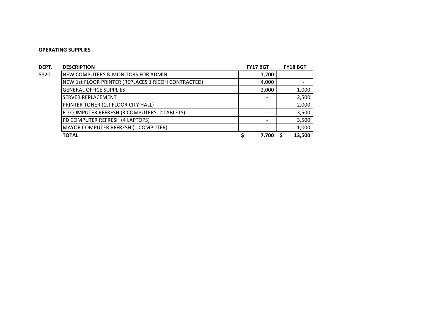| DEPT. | <b>DESCRIPTION</b>                                  | <b>FY17 BGT</b> | <b>FY18 BGT</b> |
|-------|-----------------------------------------------------|-----------------|-----------------|
| 5820  | <b>NEW COMPUTERS &amp; MONITORS FOR ADMIN</b>       | 1,700           |                 |
|       | NEW 1st FLOOR PRINTER (REPLACES 1 RICOH CONTRACTED) | 4,000           |                 |
|       | <b>GENERAL OFFICE SUPPLIES</b>                      | 2,000           | 1,000           |
|       | <b>SERVER REPLACEMENT</b>                           |                 | 2,500           |
|       | PRINTER TONER (1st FLOOR CITY HALL)                 |                 | 2,000           |
|       | FD COMPUTER REFRESH (3 COMPUTERS, 2 TABLETS)        |                 | 3,500           |
|       | PD COMPUTER REFRESH (4 LAPTOPS)                     |                 | 3,500           |
|       | MAYOR COMPUTER REFRESH (1 COMPUTER)                 |                 | 1,000           |
|       | <b>TOTAL</b>                                        | 7,700           | 13,500          |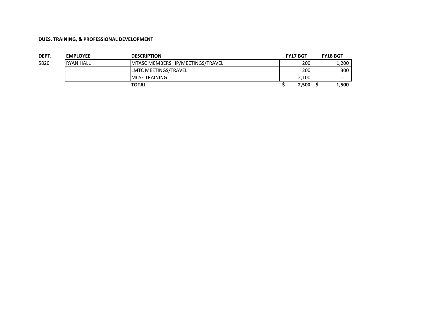| DEPT. | <b>EMPLOYEE</b> | <b>DESCRIPTION</b>               | <b>FY17 BGT</b> | <b>FY18 BGT</b> |
|-------|-----------------|----------------------------------|-----------------|-----------------|
| 5820  | IRYAN HALL      | MTASC MEMBERSHIP/MEETINGS/TRAVEL | 200             | 1,200           |
|       |                 | <b>ILMTC MEETINGS/TRAVEL</b>     | 200             | 300             |
|       |                 | <b>IMCSE TRAINING</b>            | 2,100           |                 |
|       |                 | <b>TOTAL</b>                     | 2,500           | 1,500           |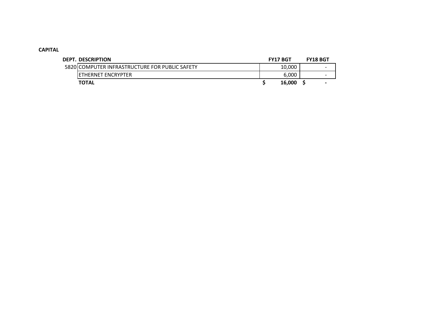## **CAPITAL**

| DEPT. DESCRIPTION                              | <b>FY17 BGT</b> | <b>FY18 BGT</b> |
|------------------------------------------------|-----------------|-----------------|
| 5820 COMPUTER INFRASTRUCTURE FOR PUBLIC SAFETY | 10,000          |                 |
| IETHERNET ENCRYPTER                            | 6.000           |                 |
| <b>TOTAL</b>                                   | 16.000          |                 |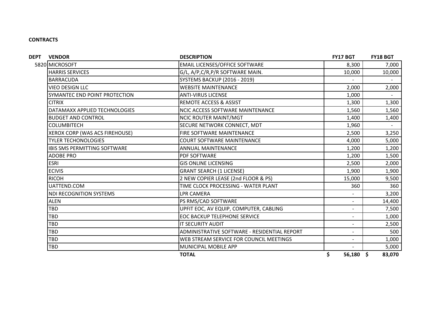## **CONTRACTS**

| <b>VENDOR</b>                       | <b>DESCRIPTION</b>                           | <b>FY17 BGT</b>   | <b>FY18 BGT</b> |
|-------------------------------------|----------------------------------------------|-------------------|-----------------|
| 5820 MICROSOFT                      | <b>EMAIL LICENSES/OFFICE SOFTWARE</b>        | 8,300             | 7,000           |
| <b>HARRIS SERVICES</b>              | G/L, A/P, C/R, P/R SOFTWARE MAIN.            | 10,000            | 10,000          |
| <b>BARRACUDA</b>                    | <b>SYSTEMS BACKUP (2016 - 2019)</b>          |                   |                 |
| <b>VIEO DESIGN LLC</b>              | <b>WEBSITE MAINTENANCE</b>                   | 2,000             | 2,000           |
| SYMANTEC END POINT PROTECTION       | <b>ANTI-VIRUS LICENSE</b>                    | 1,000             |                 |
| <b>CITRIX</b>                       | <b>REMOTE ACCESS &amp; ASSIST</b>            | 1,300             | 1,300           |
| DATAMAXX APPLIED TECHNOLOGIES       | <b>NCIC ACCESS SOFTWARE MAINTENANCE</b>      | 1,560             | 1,560           |
| <b>BUDGET AND CONTROL</b>           | <b>NCIC ROUTER MAINT/MGT</b>                 | 1,400             | 1,400           |
| <b>COLUMBITECH</b>                  | SECURE NETWORK CONNECT, MDT                  | 1,960             |                 |
| XEROX CORP (WAS ACS FIREHOUSE)      | FIRE SOFTWARE MAINTENANCE                    | 2,500             | 3,250           |
| <b>TYLER TECHONOLOGIES</b>          | <b>COURT SOFTWARE MAINTENANCE</b>            | 4,000             | 5,000           |
| <b>IBIS SMS PERMITTING SOFTWARE</b> | <b>ANNUAL MAINTENANCE</b>                    | 1,200             | 1,200           |
| <b>ADOBE PRO</b>                    | PDF SOFTWARE                                 | 1,200             | 1,500           |
| <b>ESRI</b>                         | <b>GIS ONLINE LICENSING</b>                  | 2,500             | 2,000           |
| <b>ECIVIS</b>                       | <b>GRANT SEARCH (1 LICENSE)</b>              | 1,900             | 1,900           |
| <b>RICOH</b>                        | 2 NEW COPIER LEASE (2nd FLOOR & PS)          | 15,000            | 9,500           |
| UATTEND.COM                         | TIME CLOCK PROCESSING - WATER PLANT          | 360               | 360             |
| <b>NDI RECOGNITION SYSTEMS</b>      | <b>LPR CAMERA</b>                            |                   | 3,200           |
| <b>ALEN</b>                         | PS RMS/CAD SOFTWARE                          | $\sim$            | 14,400          |
| <b>TBD</b>                          | UPFIT EOC, AV EQUIP, COMPUTER, CABLING       |                   | 7,500           |
| <b>TBD</b>                          | <b>EOC BACKUP TELEPHONE SERVICE</b>          |                   | 1,000           |
| TBD                                 | IT SECURITY AUDIT                            |                   | 2,500           |
| TBD                                 | ADMINISTRATIVE SOFTWARE - RESIDENTIAL REPORT | $\blacksquare$    | 500             |
| <b>TBD</b>                          | WEB STREAM SERVICE FOR COUNCIL MEETINGS      | $\blacksquare$    | 1,000           |
| TBD                                 | MUNICIPAL MOBILE APP                         |                   | 5,000           |
|                                     | <b>TOTAL</b>                                 | \$<br>$56,180$ \$ | 83,070          |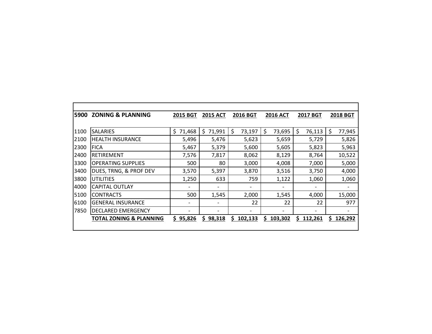| 5900 | <b>ZONING &amp; PLANNING</b>       | <b>2015 BGT</b>              | <b>2015 ACT</b>          | <b>2016 BGT</b> | <b>2016 ACT</b> | <b>2017 BGT</b> | <b>2018 BGT</b> |
|------|------------------------------------|------------------------------|--------------------------|-----------------|-----------------|-----------------|-----------------|
|      |                                    |                              |                          |                 |                 |                 |                 |
| 1100 | <b>SALARIES</b>                    | \$<br>71,468                 | \$<br>71,991             | \$<br>73,197    | \$<br>73,695    | \$<br>76,113    | \$<br>77,945    |
| 2100 | <b>HEALTH INSURANCE</b>            | 5,496                        | 5,476                    | 5,623           | 5,659           | 5,729           | 5,826           |
| 2300 | <b>FICA</b>                        | 5,467                        | 5,379                    | 5,600           | 5,605           | 5,823           | 5,963           |
| 2400 | <b>RETIREMENT</b>                  | 7,576                        | 7,817                    | 8,062           | 8,129           | 8,764           | 10,522          |
| 3300 | <b>OPERATING SUPPLIES</b>          | 500                          | 80                       | 3,000           | 4,008           | 7,000           | 5,000           |
| 3400 | DUES, TRNG, & PROF DEV             | 3,570                        | 5,397                    | 3,870           | 3,516           | 3,750           | 4,000           |
| 3800 | UTILITIES                          | 1,250                        | 633                      | 759             | 1,122           | 1,060           | 1,060           |
| 4000 | <b>CAPITAL OUTLAY</b>              | $\qquad \qquad \blacksquare$ | $\overline{a}$           |                 |                 |                 |                 |
| 5100 | <b>CONTRACTS</b>                   | 500                          | 1,545                    | 2,000           | 1,545           | 4,000           | 15,000          |
| 6100 | <b>GENERAL INSURANCE</b>           | $\qquad \qquad \blacksquare$ | $\overline{\phantom{a}}$ | 22              | 22              | 22              | 977             |
| 7850 | <b>DECLARED EMERGENCY</b>          |                              |                          |                 |                 |                 |                 |
|      | <b>TOTAL ZONING &amp; PLANNING</b> | \$95,826                     | \$98,318                 | S.<br>102,133   | Ŝ.<br>103,302   | S.<br>112,261   | Ś<br>126,292    |
|      |                                    |                              |                          |                 |                 |                 |                 |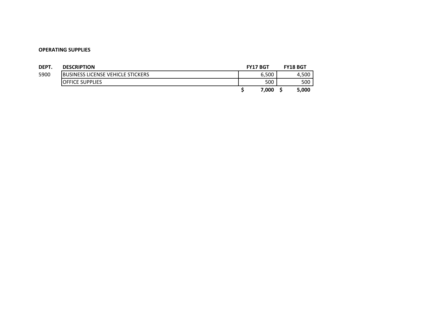| DEPT. | <b>DESCRIPTION</b>                        | <b>FY17 BGT</b> |       | <b>FY18 BGT</b> |
|-------|-------------------------------------------|-----------------|-------|-----------------|
| 5900  | <b>IBUSINESS LICENSE VEHICLE STICKERS</b> |                 | 6,500 | 4,500           |
|       | <b>IOFFICE SUPPLIES</b>                   |                 | 500   | 500             |
|       |                                           |                 | 7.000 | 5,000           |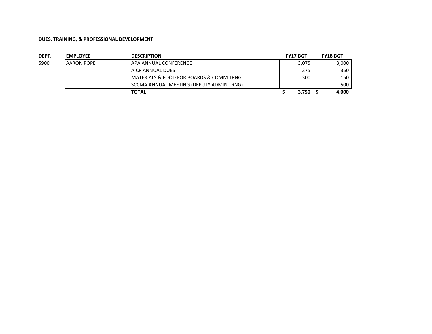| DEPT. | <b>EMPLOYEE</b>   | <b>DESCRIPTION</b>                               | <b>FY17 BGT</b> | <b>FY18 BGT</b> |
|-------|-------------------|--------------------------------------------------|-----------------|-----------------|
| 5900  | <b>AARON POPE</b> | <b>APA ANNUAL CONFERENCE</b>                     | 3.075           | 3.000           |
|       |                   | <b>JAICP ANNUAL DUES</b>                         | 375             | 350             |
|       |                   | IMATERIALS & FOOD FOR BOARDS & COMM TRNG         | 300             | 150             |
|       |                   | <b>ISCCMA ANNUAL MEETING (DEPUTY ADMIN TRNG)</b> | -               | 500             |
|       |                   | TOTAL                                            | 3,750           | 4.000           |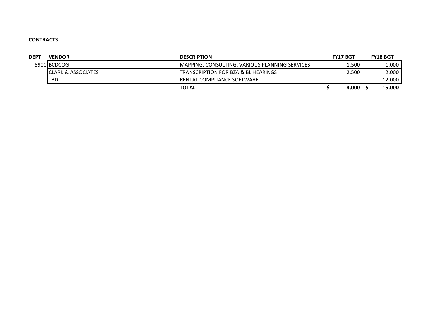## **CONTRACTS**

| <b>DEPT</b> | <b>VENDOR</b>                  | <b>DESCRIPTION</b>                                     | <b>FY17 BGT</b> | <b>FY18 BGT</b> |
|-------------|--------------------------------|--------------------------------------------------------|-----------------|-----------------|
|             | 5900 BCDCOG                    | <b>IMAPPING, CONSULTING, VARIOUS PLANNING SERVICES</b> | 500             | 1,000           |
|             | <b>ICLARK &amp; ASSOCIATES</b> | ITRANSCRIPTION FOR BZA & BL HEARINGS                   | 2.500           | 2,000           |
|             | <b>TBD</b>                     | <b>IRENTAL COMPLIANCE SOFTWARE</b>                     |                 | 12,000          |
|             |                                | <b>TOTAL</b>                                           | 4,000           | 15,000          |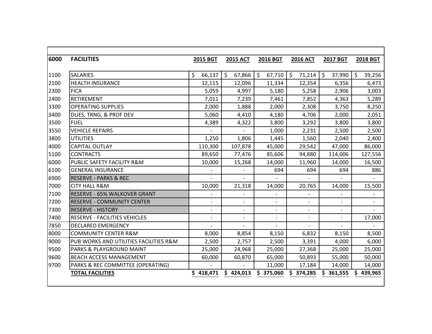| 6000 | <b>FACILITIES</b>                      | 2015 BGT                 | <b>2015 ACT</b>          | 2016 BGT                 | <b>2016 ACT</b>          | <b>2017 BGT</b>          | <b>2018 BGT</b>          |
|------|----------------------------------------|--------------------------|--------------------------|--------------------------|--------------------------|--------------------------|--------------------------|
|      |                                        |                          |                          |                          |                          |                          |                          |
| 1100 | <b>SALARIES</b>                        | $\zeta$<br>66,137        | $\zeta$<br>67,866        | $\zeta$<br>67,710        | $\zeta$<br>71,214        | $\zeta$<br>37,990        | $\zeta$<br>39,256        |
| 2100 | <b>HEALTH INSURANCE</b>                | 12,115                   | 12,096                   | 11,334                   | 12,354                   | 6,356                    | 6,473                    |
| 2300 | <b>FICA</b>                            | 5,059                    | 4,997                    | 5,180                    | 5,258                    | 2,906                    | 3,003                    |
| 2400 | <b>RETIREMENT</b>                      | 7,011                    | 7,239                    | 7,461                    | 7,852                    | 4,363                    | 5,289                    |
| 3300 | <b>OPERATING SUPPLIES</b>              | 2,000                    | 1,888                    | 2,000                    | 2,308                    | 3,750                    | 8,250                    |
| 3400 | DUES, TRNG, & PROF DEV                 | 5,060                    | 4,410                    | 4,180                    | 4,706                    | 2,000                    | 2,051                    |
| 3500 | <b>FUEL</b>                            | 4,389                    | 4,322                    | 3,800                    | 3,292                    | 3,800                    | 3,800                    |
| 3550 | <b>VEHICLE REPAIRS</b>                 | $\sim$                   | $\overline{a}$           | 1,000                    | 2,231                    | 2,500                    | 2,500                    |
| 3800 | <b>UTILITIES</b>                       | 1,250                    | 1,806                    | 1,445                    | 1,560                    | 2,040                    | 2,400                    |
| 4000 | <b>CAPITAL OUTLAY</b>                  | 110,300                  | 107,878                  | 45,000                   | 29,542                   | 47,000                   | 86,000                   |
| 5100 | <b>CONTRACTS</b>                       | 89,650                   | 77,476                   | 85,606                   | 94,880                   | 114,006                  | 127,556                  |
| 6000 | PUBLIC SAFETY FACILITY R&M             | 10,000                   | 15,268                   | 14,000                   | 11,960                   | 14,000                   | 16,500                   |
| 6100 | <b>GENERAL INSURANCE</b>               |                          |                          | 694                      | 694                      | 694                      | 886                      |
| 6900 | <b>RESERVE - PARKS &amp; REC</b>       |                          |                          |                          |                          |                          |                          |
| 7000 | <b>CITY HALL R&amp;M</b>               | 10,000                   | 21,318                   | 14,000                   | 20,765                   | 14,000                   | 15,500                   |
| 7100 | <b>RESERVE - 65% WALKOVER GRANT</b>    | $\overline{\phantom{a}}$ |                          | $\overline{\phantom{0}}$ | $\overline{\phantom{a}}$ |                          | $\overline{\phantom{a}}$ |
| 7200 | <b>RESERVE - COMMUNITY CENTER</b>      |                          |                          |                          | $\overline{\phantom{0}}$ | $\overline{\phantom{a}}$ |                          |
| 7300 | <b>RESERVE - HISTORY</b>               | $\overline{\phantom{a}}$ | $\overline{\phantom{a}}$ | $\overline{\phantom{0}}$ | $\overline{\phantom{a}}$ | $\overline{a}$           |                          |
| 7400 | RESERVE - FACILITIES VEHICLES          | $\overline{\phantom{a}}$ | $\overline{\phantom{a}}$ | $\overline{\phantom{0}}$ | $\overline{\phantom{a}}$ |                          | 17,000                   |
| 7850 | <b>DECLARED EMERGENCY</b>              |                          |                          | $\overline{\phantom{a}}$ |                          |                          |                          |
| 8000 | <b>COMMUNITY CENTER R&amp;M</b>        | 8,000                    | 8,854                    | 8,150                    | 6,832                    | 8,150                    | 8,500                    |
| 9000 | PUB WORKS AND UTILITIES FACILITIES R&M | 2,500                    | 2,757                    | 2,500                    | 3,391                    | 4,000                    | 6,000                    |
| 9500 | PARKS & PLAYGROUND MAINT               | 25,000                   | 24,968                   | 25,000                   | 27,368                   | 25,000                   | 25,000                   |
| 9600 | <b>BEACH ACCESS MANAGEMENT</b>         | 60,000                   | 60,870                   | 65,000                   | 50,893                   | 55,000                   | 50,000                   |
| 9700 | PARKS & REC COMMITTEE (OPERATING)      |                          |                          | 11,000                   | 17,184                   | 14,000                   | 14,000                   |
|      | <b>TOTAL FACILITIES</b>                | \$418,471                | \$424,013                | \$375,060                | \$374,285                | Ś.<br>361,555            | 439,965                  |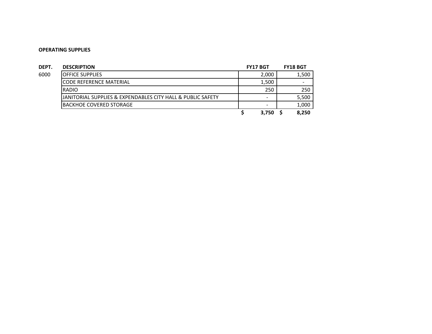| DEPT. | <b>DESCRIPTION</b>                                          | <b>FY17 BGT</b>          | <b>FY18 BGT</b>          |
|-------|-------------------------------------------------------------|--------------------------|--------------------------|
| 6000  | <b>OFFICE SUPPLIES</b>                                      | 2,000                    | 1,500                    |
|       | <b>CODE REFERENCE MATERIAL</b>                              | 1,500                    | $\overline{\phantom{0}}$ |
|       | <b>RADIO</b>                                                | 250                      | 250                      |
|       | JANITORIAL SUPPLIES & EXPENDABLES CITY HALL & PUBLIC SAFETY | $\overline{\phantom{0}}$ | 5,500                    |
|       | IBACKHOE COVERED STORAGE                                    | $\overline{\phantom{a}}$ | 1,000                    |
|       |                                                             | 3,750                    | 8,250                    |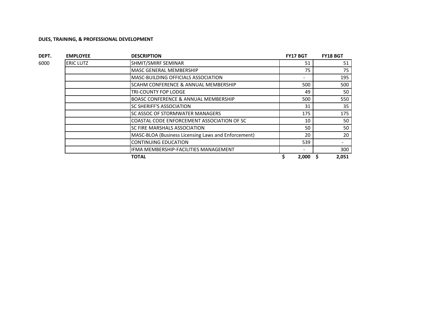| DEPT. | <b>EMPLOYEE</b>  | <b>DESCRIPTION</b>                                  | <b>FY17 BGT</b> | <b>FY18 BGT</b> |
|-------|------------------|-----------------------------------------------------|-----------------|-----------------|
| 6000  | <b>ERIC LUTZ</b> | SHMIT/SMIRF SEMINAR                                 | 51              | 51              |
|       |                  | <b>MASC GENERAL MEMBERSHIP</b>                      | 75              | 75              |
|       |                  | MASC-BUILDING OFFICIALS ASSOCIATION                 |                 | 195             |
|       |                  | SCAHM CONFERENCE & ANNUAL MEMBERSHIP                | 500             | 500             |
|       |                  | TRI-COUNTY FOP LODGE                                | 49              | 50              |
|       |                  | <b>BOASC CONFERENCE &amp; ANNUAL MEMBERSHIP</b>     | 500             | 550             |
|       |                  | <b>SC SHERIFF'S ASSOCIATION</b>                     | 31              | 35              |
|       |                  | SC ASSOC OF STORMWATER MANAGERS                     | 175             | 175             |
|       |                  | COASTAL CODE ENFORCEMENT ASSOCIATION OF SC          | 10              | 50              |
|       |                  | SC FIRE MARSHALS ASSOCIATION                        | 50              | 50              |
|       |                  | MASC-BLOA (Business Licensing Laws and Enforcement) | 20              | 20              |
|       |                  | <b>CONTINUING EDUCATION</b>                         | 539             |                 |
|       |                  | IFMA MEMBERSHIP-FACILITIES MANAGEMENT               |                 | 300             |
|       |                  | TOTAL                                               | 2,000           | 2,051           |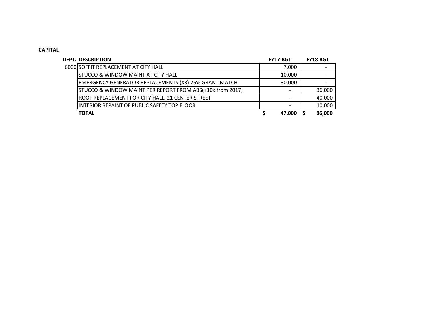## **CAPITAL**

| <b>DEPT. DESCRIPTION</b>                                     | <b>FY17 BGT</b> | <b>FY18 BGT</b> |
|--------------------------------------------------------------|-----------------|-----------------|
| 6000 SOFFIT REPLACEMENT AT CITY HALL                         | 7,000           |                 |
| <b>STUCCO &amp; WINDOW MAINT AT CITY HALL</b>                | 10,000          |                 |
| <b>EMERGENCY GENERATOR REPLACEMENTS (X3) 25% GRANT MATCH</b> | 30,000          |                 |
| STUCCO & WINDOW MAINT PER REPORT FROM ABS(+10k from 2017)    |                 | 36,000          |
| ROOF REPLACEMENT FOR CITY HALL, 21 CENTER STREET             |                 | 40,000          |
| INTERIOR REPAINT OF PUBLIC SAFETY TOP FLOOR                  |                 | 10,000          |
| <b>TOTAL</b>                                                 | 47.000          | 86,000          |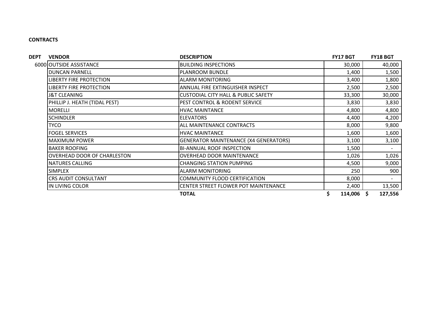## **CONTRACTS**

| <b>DEPT</b>          | <b>VENDOR</b>                                                      | <b>DESCRIPTION</b>                             | <b>FY17 BGT</b> | <b>FY18 BGT</b> |
|----------------------|--------------------------------------------------------------------|------------------------------------------------|-----------------|-----------------|
|                      | 6000 OUTSIDE ASSISTANCE                                            | <b>BUILDING INSPECTIONS</b>                    | 30,000          | 40,000          |
|                      | <b>DUNCAN PARNELL</b>                                              | <b>PLANROOM BUNDLE</b>                         | 1,400           | 1,500           |
|                      | <b>LIBERTY FIRE PROTECTION</b>                                     | <b>ALARM MONITORING</b>                        | 3,400           | 1,800           |
|                      | ANNUAL FIRE EXTINGUISHER INSPECT<br><b>LIBERTY FIRE PROTECTION</b> |                                                | 2,500           | 2,500           |
|                      | J&T CLEANING                                                       | <b>CUSTODIAL CITY HALL &amp; PUBLIC SAFETY</b> | 33,300          | 30,000          |
|                      | PHILLIP J. HEATH (TIDAL PEST)                                      | PEST CONTROL & RODENT SERVICE                  | 3,830           | 3,830           |
|                      | <b>MORELLI</b>                                                     | <b>HVAC MAINTANCE</b>                          | 4,800           | 4,800           |
|                      | <b>SCHINDLER</b>                                                   | <b>ELEVATORS</b>                               | 4,400           | 4,200           |
|                      | TYCO                                                               | ALL MAINTENANCE CONTRACTS                      | 8,000           | 9,800           |
|                      | <b>FOGEL SERVICES</b>                                              | <b>HVAC MAINTANCE</b>                          | 1,600           | 1,600           |
| <b>MAXIMUM POWER</b> | <b>GENERATOR MAINTENANCE (X4 GENERATORS)</b>                       | 3,100                                          | 3,100           |                 |
|                      | <b>BAKER ROOFING</b>                                               | <b>BI-ANNUAL ROOF INSPECTION</b>               | 1,500           |                 |
|                      | <b>OVERHEAD DOOR OF CHARLESTON</b>                                 | <b>OVERHEAD DOOR MAINTENANCE</b>               | 1,026           | 1,026           |
|                      | <b>NATURES CALLING</b>                                             | <b>CHANGING STATION PUMPING</b>                | 4,500           | 9,000           |
|                      | <b>SIMPLEX</b>                                                     | <b>ALARM MONITORING</b>                        | 250             | 900             |
|                      | CRS AUDIT CONSULTANT                                               | COMMUNITY FLOOD CERTIFICATION                  | 8,000           |                 |
|                      | IN LIVING COLOR                                                    | CENTER STREET FLOWER POT MAINTENANCE           | 2,400           | 13,500          |
|                      |                                                                    | <b>TOTAL</b>                                   | $114,006$ \$    | 127,556         |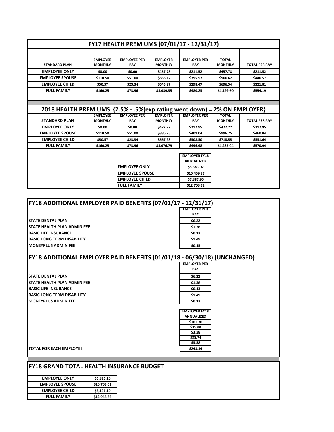|                                                                          |                                   |                                   |                                   | FY17 HEALTH PREMIUMS (07/01/17 - 12/31/17) |                                |                      |
|--------------------------------------------------------------------------|-----------------------------------|-----------------------------------|-----------------------------------|--------------------------------------------|--------------------------------|----------------------|
| <b>STANDARD PLAN</b>                                                     | <b>EMPLOYEE</b><br><b>MONTHLY</b> | <b>EMPLOYEE PER</b><br><b>PAY</b> | <b>EMPLOYER</b><br><b>MONTHLY</b> | <b>EMPLOYER PER</b><br><b>PAY</b>          | <b>TOTAL</b><br><b>MONTHLY</b> | <b>TOTAL PER PAY</b> |
| <b>EMPLOYEE ONLY</b>                                                     | \$0.00                            | \$0.00                            | \$457.78                          | \$211.52                                   | \$457.78                       | \$211.52             |
| <b>EMPLOYEE SPOUSE</b>                                                   | \$110.50                          | \$51.00                           | \$856.12                          | \$395.57                                   | \$966.62                       | \$446.57             |
| <b>EMPLOYEE CHILD</b>                                                    | \$50.57                           | \$23.34                           | \$645.97                          | \$298.47                                   | \$696.54                       | \$321.81             |
| <b>FULL FAMILY</b>                                                       | \$160.25                          | \$73.96                           | \$1,039.35                        | \$480.23                                   | \$1,199.60                     | \$554.19             |
|                                                                          |                                   |                                   |                                   |                                            |                                |                      |
|                                                                          |                                   |                                   |                                   |                                            |                                |                      |
| 2018 HEALTH PREMIUMS {2.5% - .5%(exp rating went down) = 2% ON EMPLOYER} |                                   |                                   |                                   |                                            |                                |                      |
|                                                                          |                                   |                                   |                                   |                                            |                                |                      |
| <b>STANDARD PLAN</b>                                                     | <b>EMPLOYEE</b><br><b>MONTHLY</b> | <b>EMPLOYEE PER</b><br><b>PAY</b> | <b>EMPLOYER</b><br><b>MONTHLY</b> | <b>EMPLOYER PER</b><br><b>PAY</b>          | <b>TOTAL</b><br><b>MONTHLY</b> | <b>TOTAL PER PAY</b> |
| <b>EMPLOYEE ONLY</b>                                                     | \$0.00                            | \$0.00                            | \$472.22                          | \$217.95                                   | \$472.22                       | \$217.95             |
| <b>EMPLOYEE SPOUSE</b>                                                   | \$110.50                          | \$51.00                           | \$886.25                          | \$409.04                                   | \$996.75                       | \$460.04             |
| <b>EMPLOYEE CHILD</b>                                                    | \$50.57                           | \$23.34                           | \$667.98                          | \$308.30                                   | \$718.55                       | \$331.64             |
| <b>FULL FAMILY</b>                                                       | \$160.25                          | \$73.96                           | \$1,076.79                        | \$496.98                                   | \$1,237.04                     | \$570.94             |
|                                                                          |                                   |                                   |                                   | <b>EMPLOYER FY18</b><br><b>ANNUALIZED</b>  |                                |                      |
|                                                                          |                                   | <b>EMPLOYEE ONLY</b>              |                                   | \$5,583.02                                 |                                |                      |
|                                                                          |                                   | <b>EMPLOYEE SPOUSE</b>            |                                   | \$10,459.87                                |                                |                      |
|                                                                          |                                   | <b>EMPLOYEE CHILD</b>             |                                   | \$7,887.96                                 |                                |                      |

| FY18 ADDITIONAL EMPLOYER PAID BENEFITS (07/01/17 - 12/31/17) |                     |  |  |  |  |
|--------------------------------------------------------------|---------------------|--|--|--|--|
|                                                              | <b>EMPLOYER PER</b> |  |  |  |  |
|                                                              | <b>PAY</b>          |  |  |  |  |
| STATE DENTAL PLAN                                            | \$6.22              |  |  |  |  |
| STATE HEALTH PLAN ADMIN FEE                                  | \$1.38              |  |  |  |  |
| <b>BASIC LIFE INSURANCE</b>                                  | \$0.13              |  |  |  |  |
| <b>BASIC LONG TERM DISABILITY</b>                            | \$1.49              |  |  |  |  |
| <b>MONEYPLUS ADMIN FEE</b>                                   | \$0.13              |  |  |  |  |

## **FY18 ADDITIONAL EMPLOYER PAID BENEFITS (01/01/18 - 06/30/18) (UNCHANGED)**

**STATE DENTAL PLAN STATE HEALTH PLAN ADMIN FEE BASIC LIFE INSURANCE BASIC LONG TERM DISABILITY MONEYPLUS ADMIN FEE** 

| UU/ JU/ 10          |
|---------------------|
| <b>EMPLOYER PER</b> |
| PAY                 |
| \$6.22              |
| \$1.38              |
| \$0.13              |
| \$1.49              |
| \$0.13              |
|                     |
|                     |

| <b>EMPLOYER FY18</b> |
|----------------------|
| ANNUALIZED           |
| \$161.76             |
| \$35.88              |
| \$3.38               |
| \$38.74              |
| \$3.38               |
| \$243.14             |

**TOTAL FOR EACH EMPLOYEE \$243.14**

| <b>EMPLOYEE ONLY</b>   | \$5,826.16  |
|------------------------|-------------|
| <b>EMPLOYEE SPOUSE</b> | \$10,703.01 |
| <b>EMPLOYEE CHILD</b>  | \$8,131.10  |
| <b>FULL FAMILY</b>     | \$12,946.86 |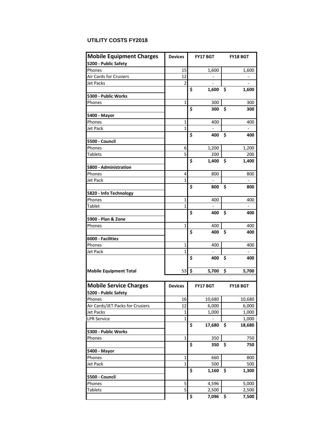## **UTILITY COSTS FY2018**

| <b>Mobile Equipment Charges</b>  | <b>Devices</b> |             | FY17 BGT                     |    | <b>FY18 BGT</b> |  |  |
|----------------------------------|----------------|-------------|------------------------------|----|-----------------|--|--|
| 5200 - Public Safety             |                |             |                              |    |                 |  |  |
| Phones                           | 15             |             | 1,600                        |    | 1,600           |  |  |
| Air Cards for Crusiers           | 12             |             |                              |    |                 |  |  |
| <b>Jet Packs</b>                 | 2              |             |                              |    |                 |  |  |
|                                  |                | Ś           | 1,600                        | \$ | 1,600           |  |  |
| 5300 - Public Works              |                |             |                              |    |                 |  |  |
| Phones                           | $\mathbf{1}$   |             | 300                          |    | 300             |  |  |
|                                  |                | \$          | 300                          | Ś  | 300             |  |  |
| 5400 - Mayor                     |                |             |                              |    |                 |  |  |
| Phones                           | 1              |             | 400                          |    | 400             |  |  |
| Jet Pack                         | 1              |             |                              |    |                 |  |  |
|                                  |                | \$          | 400                          | \$ | 400             |  |  |
| 5500 - Council                   |                |             |                              |    |                 |  |  |
| Phones                           | 6              |             | 1,200                        |    | 1,200           |  |  |
| <b>Tablets</b>                   | 5              |             | 200                          |    | 200             |  |  |
|                                  |                | \$          | 1,400                        | \$ | 1,400           |  |  |
| 5800 - Administration            |                |             |                              |    |                 |  |  |
| Phones                           | 4              |             | 800                          |    | 800             |  |  |
| Jet Pack                         | 1              |             |                              |    |                 |  |  |
|                                  |                | \$          | 800                          | Ś  | 800             |  |  |
| 5820 - Info Technology           |                |             |                              |    |                 |  |  |
| Phones                           | 1              |             | 400                          |    | 400             |  |  |
| Tablet                           | $\mathbf 1$    |             | $\qquad \qquad \blacksquare$ |    |                 |  |  |
|                                  |                | \$          | 400                          | \$ | 400             |  |  |
| 5900 - Plan & Zone               |                |             |                              |    |                 |  |  |
| Phones                           | 1              |             | 400                          |    | 400             |  |  |
|                                  |                | \$          | 400                          | \$ | 400             |  |  |
| 6000 - Facilities                |                |             |                              |    |                 |  |  |
| Phones                           | 1              |             | 400                          |    | 400             |  |  |
| Jet Pack                         | 1              |             |                              |    |                 |  |  |
|                                  |                | \$          | 400                          | Ś  | 400             |  |  |
| <b>Mobile Equipment Total</b>    | 53             | \$<br>5,700 |                              | \$ | 5,700           |  |  |
|                                  |                |             |                              |    |                 |  |  |
|                                  |                |             |                              |    |                 |  |  |
| <b>Mobile Service Charges</b>    | <b>Devices</b> |             | <b>FY17 BGT</b>              |    | <b>FY18 BGT</b> |  |  |
| 5200 - Public Safety             |                |             |                              |    |                 |  |  |
| Phones                           | 16             |             | 10,680                       |    | 10,680          |  |  |
| Air Cards/JET Packs for Crusiers | 12             |             | 6,000                        |    | 6,000           |  |  |
| <b>Jet Packs</b>                 | $\mathbf{1}$   |             | 1,000                        |    | 1,000           |  |  |
| <b>LPR Service</b>               | $\mathbf{1}$   |             |                              |    | 1,000           |  |  |
|                                  |                | \$          | 17,680                       | \$ | 18,680          |  |  |
| 5300 - Public Works              |                |             |                              |    |                 |  |  |
| Phones                           | $\mathbf{1}$   |             | 350                          |    | 750             |  |  |
|                                  |                | \$          | 350                          | \$ | 750             |  |  |
| 5400 - Mayor                     |                |             |                              |    |                 |  |  |
| Phones                           | 1              |             | 660                          |    | 800             |  |  |
| <b>Jet Pack</b>                  | 1              |             | 500                          |    | 500             |  |  |
|                                  |                | \$          | 1,160                        | \$ | 1,300           |  |  |
| 5500 - Council                   |                |             |                              |    |                 |  |  |
| Phones                           | 5              |             | 4,596                        |    | 5,000           |  |  |
| <b>Tablets</b>                   | 5              |             | 2,500                        |    | 2,500           |  |  |
|                                  |                | \$          | 7,096                        | \$ | 7,500           |  |  |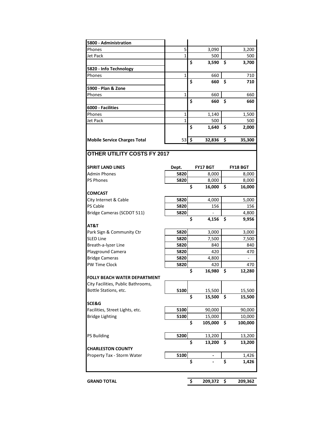| 5800 - Administration                                     |              |      |                   |    |                   |
|-----------------------------------------------------------|--------------|------|-------------------|----|-------------------|
| Phones                                                    | 5            |      | 3,090             |    | 3,200             |
| Jet Pack                                                  | 1            |      | 500               |    | 500               |
|                                                           |              | \$   | 3,590             | \$ | 3,700             |
| 5820 - Info Technology                                    |              |      |                   |    |                   |
| Phones                                                    | $\mathbf{1}$ |      | 660               |    | 710               |
|                                                           |              | \$   | 660               | \$ | 710               |
| 5900 - Plan & Zone                                        |              |      |                   |    |                   |
| Phones                                                    | $\mathbf{1}$ |      | 660               |    | 660               |
|                                                           |              | Ś    | 660               | \$ | 660               |
| 6000 - Facilities                                         |              |      |                   |    |                   |
| Phones                                                    | 1            |      | 1,140             |    | 1,500             |
| Jet Pack                                                  | 1            |      | 500               |    | 500               |
|                                                           |              | Ś    | 1,640             | \$ | 2,000             |
|                                                           |              |      |                   |    |                   |
| <b>Mobile Service Charges Total</b>                       | 53           | ا \$ | 32,836            | \$ | 35,300            |
| <b>OTHER UTILITY COSTS FY 2017</b>                        |              |      |                   |    |                   |
| <b>SPIRIT LAND LINES</b>                                  | Dept.        |      | <b>FY17 BGT</b>   |    | <b>FY18 BGT</b>   |
| <b>Admin Phones</b>                                       | 5820         |      | 8,000             |    | 8,000             |
| <b>PS Phones</b>                                          | 5820         |      | 8,000             |    | 8,000             |
|                                                           |              | \$   | 16,000            | \$ | 16,000            |
| <b>COMCAST</b>                                            |              |      |                   |    |                   |
| City Internet & Cable                                     | 5820         |      | 4,000             |    | 5,000             |
| <b>PS Cable</b>                                           | 5820         |      | 156               |    | 156               |
| Bridge Cameras (SCDOT 511)                                | 5820         |      |                   |    | 4,800             |
|                                                           |              | \$   | 4,156             | Ś  | 9,956             |
| AT&T                                                      |              |      |                   |    |                   |
| Park Sign & Community Ctr                                 | 5820         |      | 3,000             |    | 3,000             |
| <b>SLED Line</b>                                          | 5820         |      | 7,500             |    | 7,500             |
| Breath-a-lyzer Line                                       | 5820         |      | 840               |    | 840               |
| Playground Camera                                         | 5820         |      | 420               |    | 470               |
| <b>Bridge Cameras</b>                                     | 5820         |      | 4,800             |    | ÷,                |
| <b>PW Time Clock</b>                                      | 5820         |      | 420               |    | 470               |
|                                                           |              | \$   | 16,980            | \$ | 12,280            |
| FOLLY BEACH WATER DEPARTMENT                              |              |      |                   |    |                   |
| City Facilities, Public Bathrooms,                        |              |      |                   |    |                   |
| Bottle Stations, etc.                                     | 5100         |      | 15,500            |    | 15,500            |
|                                                           |              | \$   | 15,500            | \$ | 15,500            |
| SCE&G                                                     |              |      |                   |    |                   |
| Facilities, Street Lights, etc.<br><b>Bridge Lighting</b> | 5100<br>5100 |      | 90,000            |    | 90,000            |
|                                                           |              | \$   | 15,000<br>105,000 | \$ | 10,000<br>100,000 |
|                                                           |              |      |                   |    |                   |
| <b>PS Building</b>                                        | 5200         |      | 13,200            |    | 13,200            |
|                                                           |              | \$   | 13,200            | \$ | 13,200            |
| <b>CHARLESTON COUNTY</b>                                  |              |      |                   |    |                   |
| Property Tax - Storm Water                                | 5100         |      |                   |    | 1,426             |
|                                                           |              | \$   |                   | \$ | 1,426             |
|                                                           |              |      |                   |    |                   |
| <b>GRAND TOTAL</b>                                        |              | \$   | 209,372           | \$ | 209,362           |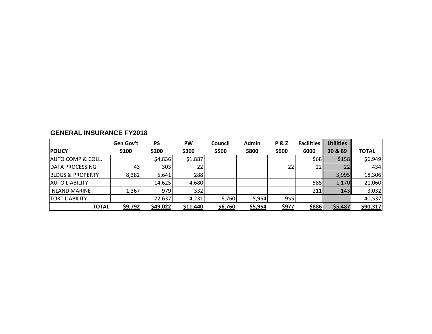|                              | Gen Gov't       | <b>PS</b> | PW       | Council | <b>Admin</b> | <b>P&amp;Z</b> | <b>Facilities</b> | <b>Utilities</b> |              |
|------------------------------|-----------------|-----------|----------|---------|--------------|----------------|-------------------|------------------|--------------|
| <b>POLICY</b>                | 5100            | 5200      | 5300     | 5500    | 5800         | 5900           | 6000              | 30 & 89          | <b>TOTAL</b> |
| <b>AUTO COMP.&amp; COLL.</b> |                 | \$4,836   | \$1,887  |         |              |                | \$68              | \$158            | \$6,949      |
| <b>DATA PROCESSING</b>       | 43 <sub>l</sub> | 303       | 22       |         |              | 22             | 22                | 22               | 434          |
| <b>BLDGS &amp; PROPERTY</b>  | 8,382           | 5,641     | 288      |         |              |                |                   | 3,995            | 18,306       |
| <b>JAUTO LIABILITY</b>       |                 | 14,625    | 4,680    |         |              |                | 585               | 1,170            | 21,060       |
| <b>INLAND MARINE</b>         | 1,367           | 979       | 332      |         |              |                | 211               | 143              | 3,032        |
| <b>TORT LIABILITY</b>        |                 | 22,637    | 4,231    | 6,760   | 5,954        | 955            |                   |                  | 40,537       |
| <b>TOTAL</b>                 | \$9,792         | \$49,022  | \$11,440 | \$6,760 | \$5,954      | <u>\$977</u>   | <u>\$886</u>      | \$5,487          | \$90,317     |

# **GENERAL INSURANCE FY2018**